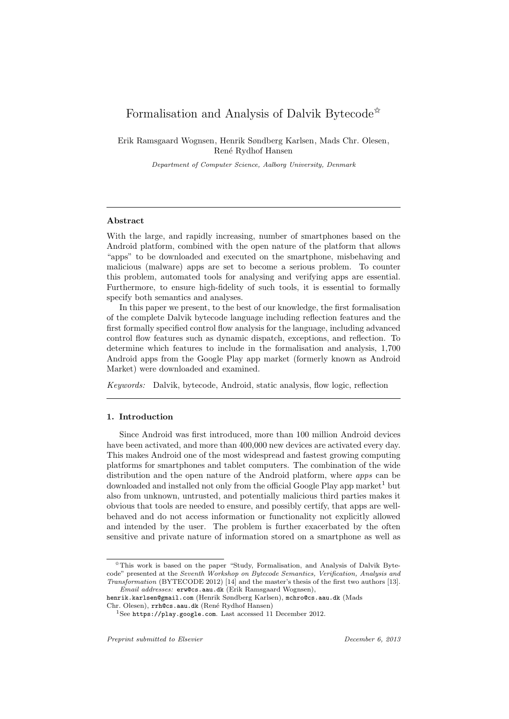# Formalisation and Analysis of Dalvik Bytecode<sup> $\hat{\kappa}$ </sup>

Erik Ramsgaard Wognsen, Henrik Søndberg Karlsen, Mads Chr. Olesen, René Rydhof Hansen

Department of Computer Science, Aalborg University, Denmark

# Abstract

With the large, and rapidly increasing, number of smartphones based on the Android platform, combined with the open nature of the platform that allows "apps" to be downloaded and executed on the smartphone, misbehaving and malicious (malware) apps are set to become a serious problem. To counter this problem, automated tools for analysing and verifying apps are essential. Furthermore, to ensure high-fidelity of such tools, it is essential to formally specify both semantics and analyses.

In this paper we present, to the best of our knowledge, the first formalisation of the complete Dalvik bytecode language including reflection features and the first formally specified control flow analysis for the language, including advanced control flow features such as dynamic dispatch, exceptions, and reflection. To determine which features to include in the formalisation and analysis, 1,700 Android apps from the Google Play app market (formerly known as Android Market) were downloaded and examined.

Keywords: Dalvik, bytecode, Android, static analysis, flow logic, reflection

# 1. Introduction

Since Android was first introduced, more than 100 million Android devices have been activated, and more than 400,000 new devices are activated every day. This makes Android one of the most widespread and fastest growing computing platforms for smartphones and tablet computers. The combination of the wide distribution and the open nature of the Android platform, where *apps* can be downloaded and installed not only from the official Google Play app market<sup>1</sup> but also from unknown, untrusted, and potentially malicious third parties makes it obvious that tools are needed to ensure, and possibly certify, that apps are wellbehaved and do not access information or functionality not explicitly allowed and intended by the user. The problem is further exacerbated by the often sensitive and private nature of information stored on a smartphone as well as

<sup>✩</sup>This work is based on the paper "Study, Formalisation, and Analysis of Dalvik Bytecode" presented at the Seventh Workshop on Bytecode Semantics, Verification, Analysis and Transformation (BYTECODE 2012) [14] and the master's thesis of the first two authors [13]. Email addresses: erw@cs.aau.dk (Erik Ramsgaard Wognsen),

henrik.karlsen@gmail.com (Henrik Søndberg Karlsen), mchro@cs.aau.dk (Mads

Chr. Olesen), rrh@cs.aau.dk (René Rydhof Hansen)

<sup>1</sup>See https://play.google.com. Last accessed 11 December 2012.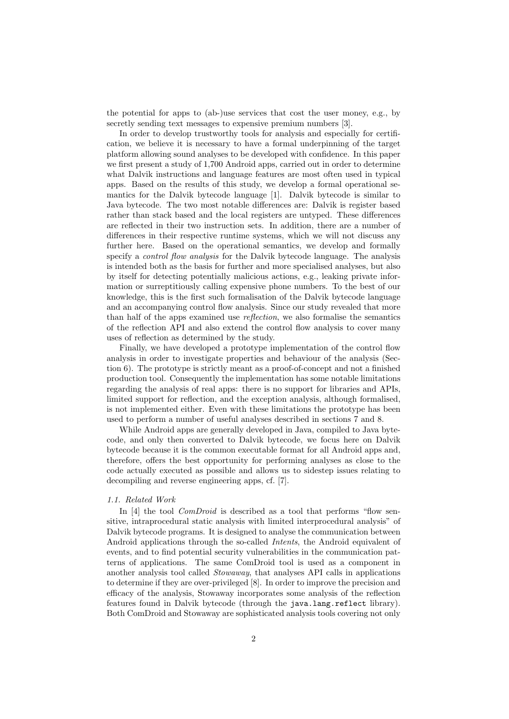the potential for apps to (ab-)use services that cost the user money, e.g., by secretly sending text messages to expensive premium numbers [3].

In order to develop trustworthy tools for analysis and especially for certification, we believe it is necessary to have a formal underpinning of the target platform allowing sound analyses to be developed with confidence. In this paper we first present a study of 1,700 Android apps, carried out in order to determine what Dalvik instructions and language features are most often used in typical apps. Based on the results of this study, we develop a formal operational semantics for the Dalvik bytecode language [1]. Dalvik bytecode is similar to Java bytecode. The two most notable differences are: Dalvik is register based rather than stack based and the local registers are untyped. These differences are reflected in their two instruction sets. In addition, there are a number of differences in their respective runtime systems, which we will not discuss any further here. Based on the operational semantics, we develop and formally specify a *control flow analysis* for the Dalvik bytecode language. The analysis is intended both as the basis for further and more specialised analyses, but also by itself for detecting potentially malicious actions, e.g., leaking private information or surreptitiously calling expensive phone numbers. To the best of our knowledge, this is the first such formalisation of the Dalvik bytecode language and an accompanying control flow analysis. Since our study revealed that more than half of the apps examined use reflection, we also formalise the semantics of the reflection API and also extend the control flow analysis to cover many uses of reflection as determined by the study.

Finally, we have developed a prototype implementation of the control flow analysis in order to investigate properties and behaviour of the analysis (Section 6). The prototype is strictly meant as a proof-of-concept and not a finished production tool. Consequently the implementation has some notable limitations regarding the analysis of real apps: there is no support for libraries and APIs, limited support for reflection, and the exception analysis, although formalised, is not implemented either. Even with these limitations the prototype has been used to perform a number of useful analyses described in sections 7 and 8.

While Android apps are generally developed in Java, compiled to Java bytecode, and only then converted to Dalvik bytecode, we focus here on Dalvik bytecode because it is the common executable format for all Android apps and, therefore, offers the best opportunity for performing analyses as close to the code actually executed as possible and allows us to sidestep issues relating to decompiling and reverse engineering apps, cf. [7].

# 1.1. Related Work

In [4] the tool *ComDroid* is described as a tool that performs "flow sensitive, intraprocedural static analysis with limited interprocedural analysis" of Dalvik bytecode programs. It is designed to analyse the communication between Android applications through the so-called *Intents*, the Android equivalent of events, and to find potential security vulnerabilities in the communication patterns of applications. The same ComDroid tool is used as a component in another analysis tool called Stowaway, that analyses API calls in applications to determine if they are over-privileged [8]. In order to improve the precision and efficacy of the analysis, Stowaway incorporates some analysis of the reflection features found in Dalvik bytecode (through the java.lang.reflect library). Both ComDroid and Stowaway are sophisticated analysis tools covering not only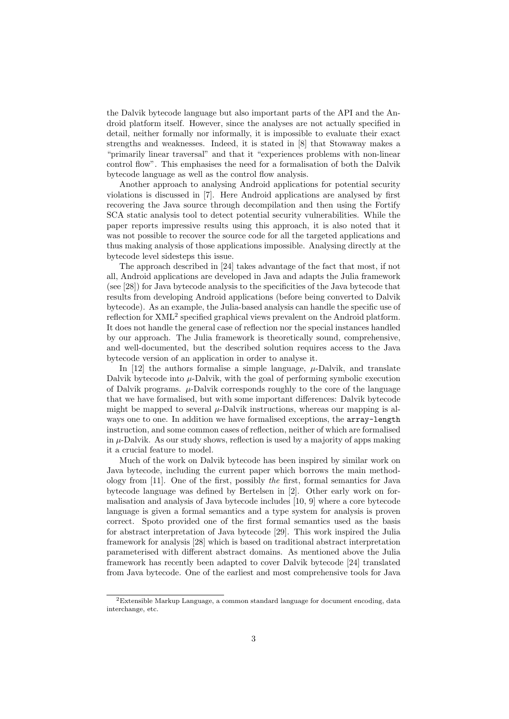the Dalvik bytecode language but also important parts of the API and the Android platform itself. However, since the analyses are not actually specified in detail, neither formally nor informally, it is impossible to evaluate their exact strengths and weaknesses. Indeed, it is stated in [8] that Stowaway makes a "primarily linear traversal" and that it "experiences problems with non-linear control flow". This emphasises the need for a formalisation of both the Dalvik bytecode language as well as the control flow analysis.

Another approach to analysing Android applications for potential security violations is discussed in [7]. Here Android applications are analysed by first recovering the Java source through decompilation and then using the Fortify SCA static analysis tool to detect potential security vulnerabilities. While the paper reports impressive results using this approach, it is also noted that it was not possible to recover the source code for all the targeted applications and thus making analysis of those applications impossible. Analysing directly at the bytecode level sidesteps this issue.

The approach described in [24] takes advantage of the fact that most, if not all, Android applications are developed in Java and adapts the Julia framework (see [28]) for Java bytecode analysis to the specificities of the Java bytecode that results from developing Android applications (before being converted to Dalvik bytecode). As an example, the Julia-based analysis can handle the specific use of reflection for XML<sup>2</sup> specified graphical views prevalent on the Android platform. It does not handle the general case of reflection nor the special instances handled by our approach. The Julia framework is theoretically sound, comprehensive, and well-documented, but the described solution requires access to the Java bytecode version of an application in order to analyse it.

In [12] the authors formalise a simple language,  $\mu$ -Dalvik, and translate Dalvik bytecode into  $\mu$ -Dalvik, with the goal of performing symbolic execution of Dalvik programs.  $\mu$ -Dalvik corresponds roughly to the core of the language that we have formalised, but with some important differences: Dalvik bytecode might be mapped to several  $\mu$ -Dalvik instructions, whereas our mapping is always one to one. In addition we have formalised exceptions, the  $array-length$ instruction, and some common cases of reflection, neither of which are formalised in  $\mu$ -Dalvik. As our study shows, reflection is used by a majority of apps making it a crucial feature to model.

Much of the work on Dalvik bytecode has been inspired by similar work on Java bytecode, including the current paper which borrows the main methodology from [11]. One of the first, possibly the first, formal semantics for Java bytecode language was defined by Bertelsen in [2]. Other early work on formalisation and analysis of Java bytecode includes [10, 9] where a core bytecode language is given a formal semantics and a type system for analysis is proven correct. Spoto provided one of the first formal semantics used as the basis for abstract interpretation of Java bytecode [29]. This work inspired the Julia framework for analysis [28] which is based on traditional abstract interpretation parameterised with different abstract domains. As mentioned above the Julia framework has recently been adapted to cover Dalvik bytecode [24] translated from Java bytecode. One of the earliest and most comprehensive tools for Java

 $2$ Extensible Markup Language, a common standard language for document encoding, data interchange, etc.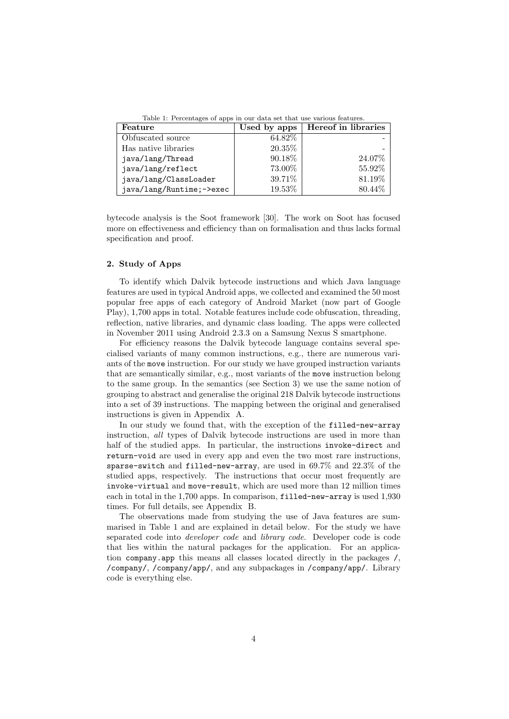Table 1: Percentages of apps in our data set that use various features.

| Feature                  | Used by apps | Hereof in libraries |
|--------------------------|--------------|---------------------|
| Obfuscated source        | 64.82\%      |                     |
| Has native libraries     | 20.35%       |                     |
| java/lang/Thread         | 90.18%       | 24.07%              |
| java/lang/reflect        | 73.00%       | 55.92%              |
| java/lang/ClassLoader    | 39.71%       | 81.19%              |
| java/lang/Runtime;->exec | 19.53%       | 80.44\%             |

bytecode analysis is the Soot framework [30]. The work on Soot has focused more on effectiveness and efficiency than on formalisation and thus lacks formal specification and proof.

# 2. Study of Apps

To identify which Dalvik bytecode instructions and which Java language features are used in typical Android apps, we collected and examined the 50 most popular free apps of each category of Android Market (now part of Google Play), 1,700 apps in total. Notable features include code obfuscation, threading, reflection, native libraries, and dynamic class loading. The apps were collected in November 2011 using Android 2.3.3 on a Samsung Nexus S smartphone.

For efficiency reasons the Dalvik bytecode language contains several specialised variants of many common instructions, e.g., there are numerous variants of the move instruction. For our study we have grouped instruction variants that are semantically similar, e.g., most variants of the move instruction belong to the same group. In the semantics (see Section 3) we use the same notion of grouping to abstract and generalise the original 218 Dalvik bytecode instructions into a set of 39 instructions. The mapping between the original and generalised instructions is given in Appendix A.

In our study we found that, with the exception of the filled-new-array instruction, all types of Dalvik bytecode instructions are used in more than half of the studied apps. In particular, the instructions invoke-direct and return-void are used in every app and even the two most rare instructions, sparse-switch and filled-new-array, are used in 69.7% and 22.3% of the studied apps, respectively. The instructions that occur most frequently are invoke-virtual and move-result, which are used more than 12 million times each in total in the 1,700 apps. In comparison, filled-new-array is used 1,930 times. For full details, see Appendix B.

The observations made from studying the use of Java features are summarised in Table 1 and are explained in detail below. For the study we have separated code into developer code and library code. Developer code is code that lies within the natural packages for the application. For an application company.app this means all classes located directly in the packages /, /company/, /company/app/, and any subpackages in /company/app/. Library code is everything else.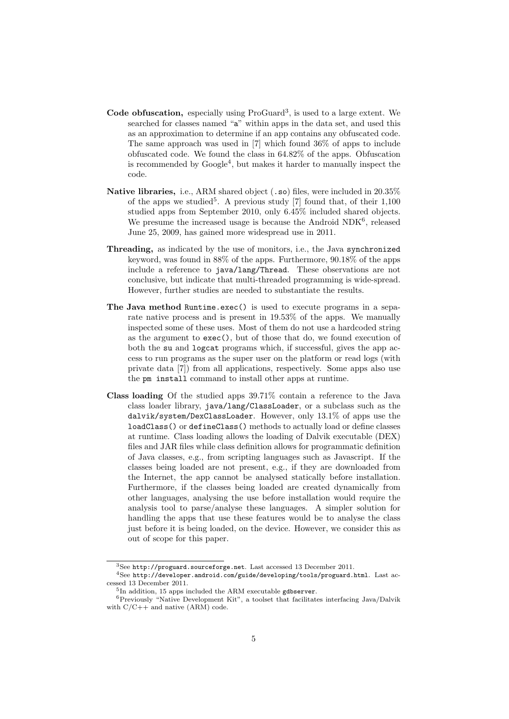- Code obfuscation, especially using ProGuard<sup>3</sup>, is used to a large extent. We searched for classes named "a" within apps in the data set, and used this as an approximation to determine if an app contains any obfuscated code. The same approach was used in [7] which found 36% of apps to include obfuscated code. We found the class in 64.82% of the apps. Obfuscation is recommended by  $Google<sup>4</sup>$ , but makes it harder to manually inspect the code.
- Native libraries, i.e., ARM shared object (.so) files, were included in 20.35% of the apps we studied<sup>5</sup>. A previous study [7] found that, of their  $1,100$ studied apps from September 2010, only 6.45% included shared objects. We presume the increased usage is because the Android NDK<sup>6</sup>, released June 25, 2009, has gained more widespread use in 2011.
- Threading, as indicated by the use of monitors, i.e., the Java synchronized keyword, was found in 88% of the apps. Furthermore, 90.18% of the apps include a reference to java/lang/Thread. These observations are not conclusive, but indicate that multi-threaded programming is wide-spread. However, further studies are needed to substantiate the results.
- The Java method Runtime.exec() is used to execute programs in a separate native process and is present in 19.53% of the apps. We manually inspected some of these uses. Most of them do not use a hardcoded string as the argument to exec(), but of those that do, we found execution of both the su and logcat programs which, if successful, gives the app access to run programs as the super user on the platform or read logs (with private data [7]) from all applications, respectively. Some apps also use the pm install command to install other apps at runtime.
- Class loading Of the studied apps 39.71% contain a reference to the Java class loader library, java/lang/ClassLoader, or a subclass such as the dalvik/system/DexClassLoader. However, only 13.1% of apps use the loadClass() or defineClass() methods to actually load or define classes at runtime. Class loading allows the loading of Dalvik executable (DEX) files and JAR files while class definition allows for programmatic definition of Java classes, e.g., from scripting languages such as Javascript. If the classes being loaded are not present, e.g., if they are downloaded from the Internet, the app cannot be analysed statically before installation. Furthermore, if the classes being loaded are created dynamically from other languages, analysing the use before installation would require the analysis tool to parse/analyse these languages. A simpler solution for handling the apps that use these features would be to analyse the class just before it is being loaded, on the device. However, we consider this as out of scope for this paper.

 $3$ See http://proguard.sourceforge.net. Last accessed 13 December 2011.

<sup>4</sup>See http://developer.android.com/guide/developing/tools/proguard.html. Last accessed 13 December 2011.

<sup>&</sup>lt;sup>5</sup>In addition, 15 apps included the ARM executable gdbserver.

<sup>6</sup>Previously "Native Development Kit", a toolset that facilitates interfacing Java/Dalvik with C/C++ and native (ARM) code.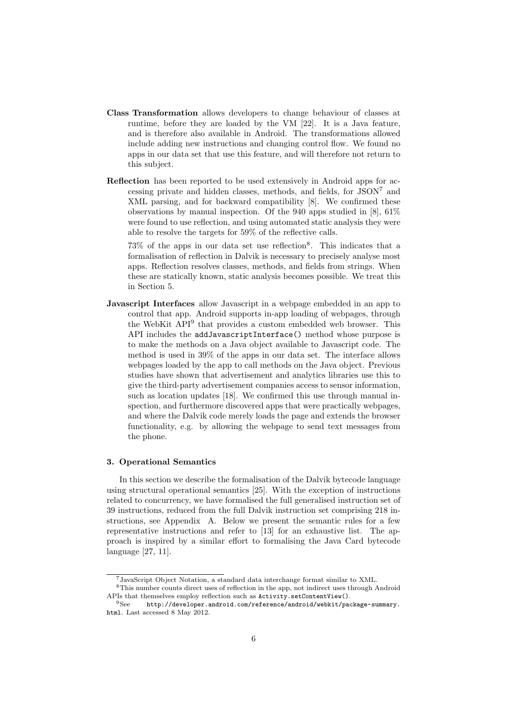- Class Transformation allows developers to change behaviour of classes at runtime, before they are loaded by the VM [22]. It is a Java feature, and is therefore also available in Android. The transformations allowed include adding new instructions and changing control flow. We found no apps in our data set that use this feature, and will therefore not return to this subject.
- Reflection has been reported to be used extensively in Android apps for accessing private and hidden classes, methods, and fields, for JSON<sup>7</sup> and XML parsing, and for backward compatibility [8]. We confirmed these observations by manual inspection. Of the 940 apps studied in [8], 61% were found to use reflection, and using automated static analysis they were able to resolve the targets for 59% of the reflective calls.

 $73\%$  of the apps in our data set use reflection<sup>8</sup>. This indicates that a formalisation of reflection in Dalvik is necessary to precisely analyse most apps. Reflection resolves classes, methods, and fields from strings. When these are statically known, static analysis becomes possible. We treat this in Section 5.

Javascript Interfaces allow Javascript in a webpage embedded in an app to control that app. Android supports in-app loading of webpages, through the WebKit API<sup>9</sup> that provides a custom embedded web browser. This API includes the addJavascriptInterface() method whose purpose is to make the methods on a Java object available to Javascript code. The method is used in 39% of the apps in our data set. The interface allows webpages loaded by the app to call methods on the Java object. Previous studies have shown that advertisement and analytics libraries use this to give the third-party advertisement companies access to sensor information, such as location updates [18]. We confirmed this use through manual inspection, and furthermore discovered apps that were practically webpages, and where the Dalvik code merely loads the page and extends the browser functionality, e.g. by allowing the webpage to send text messages from the phone.

### 3. Operational Semantics

In this section we describe the formalisation of the Dalvik bytecode language using structural operational semantics [25]. With the exception of instructions related to concurrency, we have formalised the full generalised instruction set of 39 instructions, reduced from the full Dalvik instruction set comprising 218 instructions, see Appendix A. Below we present the semantic rules for a few representative instructions and refer to [13] for an exhaustive list. The approach is inspired by a similar effort to formalising the Java Card bytecode language [27, 11].

<sup>7</sup>JavaScript Object Notation, a standard data interchange format similar to XML.

<sup>8</sup>This number counts direct uses of reflection in the app, not indirect uses through Android APIs that themselves employ reflection such as Activity.setContentView().

 $\rm ^{9}See \phantom{40} \emph{http://development.} android.com/reference/android/webkit/package-summary.$ html. Last accessed 8 May 2012.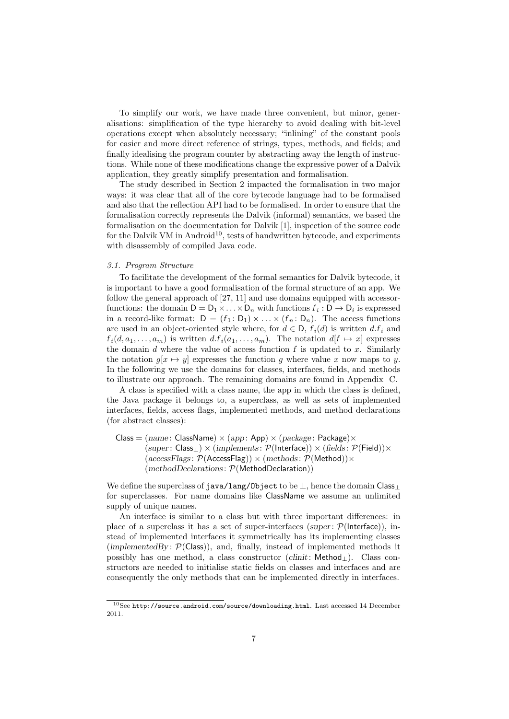To simplify our work, we have made three convenient, but minor, generalisations: simplification of the type hierarchy to avoid dealing with bit-level operations except when absolutely necessary; "inlining" of the constant pools for easier and more direct reference of strings, types, methods, and fields; and finally idealising the program counter by abstracting away the length of instructions. While none of these modifications change the expressive power of a Dalvik application, they greatly simplify presentation and formalisation.

The study described in Section 2 impacted the formalisation in two major ways: it was clear that all of the core bytecode language had to be formalised and also that the reflection API had to be formalised. In order to ensure that the formalisation correctly represents the Dalvik (informal) semantics, we based the formalisation on the documentation for Dalvik [1], inspection of the source code for the Dalvik VM in Android<sup>10</sup>, tests of handwritten bytecode, and experiments with disassembly of compiled Java code.

# 3.1. Program Structure

To facilitate the development of the formal semantics for Dalvik bytecode, it is important to have a good formalisation of the formal structure of an app. We follow the general approach of [27, 11] and use domains equipped with accessorfunctions: the domain  $D = D_1 \times ... \times D_n$  with functions  $f_i : D \to D_i$  is expressed in a record-like format:  $D = (f_1 : D_1) \times ... \times (f_n : D_n)$ . The access functions are used in an object-oriented style where, for  $d \in \mathsf{D}$ ,  $f_i(d)$  is written  $d.f_i$  and  $f_i(d, a_1, \ldots, a_m)$  is written  $d, f_i(a_1, \ldots, a_m)$ . The notation  $d[f \mapsto x]$  expresses the domain  $d$  where the value of access function  $f$  is updated to  $x$ . Similarly the notation  $g[x \mapsto y]$  expresses the function g where value x now maps to y. In the following we use the domains for classes, interfaces, fields, and methods to illustrate our approach. The remaining domains are found in Appendix C.

A class is specified with a class name, the app in which the class is defined, the Java package it belongs to, a superclass, as well as sets of implemented interfaces, fields, access flags, implemented methods, and method declarations (for abstract classes):

 $\text{Class} = (name: \text{ClassName}) \times (app: \text{App}) \times (package: \text{Package}) \times$  $(super: Class<sub>⊥</sub>) \times (implements: P(Internetace)) \times (fields: P(Field)) \times$  $(\text{accessFlags: } \mathcal{P}(\text{AccessFlag}) \times (\text{methods: } \mathcal{P}(\text{Method})) \times$ (methodDeclarations: P(MethodDeclaration))

We define the superclass of java/lang/Object to be ⊥, hence the domain Class<sub>⊥</sub> for superclasses. For name domains like ClassName we assume an unlimited supply of unique names.

An interface is similar to a class but with three important differences: in place of a superclass it has a set of super-interfaces (super:  $\mathcal{P}(\mathsf{Interface})$ ), instead of implemented interfaces it symmetrically has its implementing classes (implementedBy:  $\mathcal{P}(\mathsf{Class})$ ), and, finally, instead of implemented methods it possibly has one method, a class constructor  $(clinit: Method<sub>⊥</sub>)$ . Class constructors are needed to initialise static fields on classes and interfaces and are consequently the only methods that can be implemented directly in interfaces.

 $10$ See http://source.android.com/source/downloading.html. Last accessed 14 December 2011.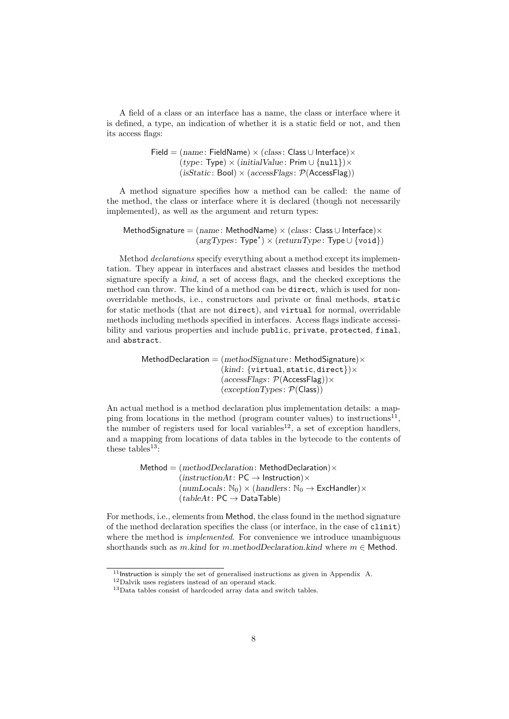A field of a class or an interface has a name, the class or interface where it is defined, a type, an indication of whether it is a static field or not, and then its access flags:

> Field =  $(name: FieldName) \times (class: Class \cup Interface) \times$  $(type: Type) \times (initialValue: Prim \cup \{null\}) \times$  $(isStatic:Bool) \times (accessFlags: P(AccessFlag))$

A method signature specifies how a method can be called: the name of the method, the class or interface where it is declared (though not necessarily implemented), as well as the argument and return types:

MethodSignature =  $(name: MethodName) \times (class: Class \cup Interface) \times$  $(argTypes:Type^*)\times (returnType:Type\cup \{void\})$ 

Method *declarations* specify everything about a method except its implementation. They appear in interfaces and abstract classes and besides the method signature specify a kind, a set of access flags, and the checked exceptions the method can throw. The kind of a method can be direct, which is used for nonoverridable methods, i.e., constructors and private or final methods, static for static methods (that are not direct), and virtual for normal, overridable methods including methods specified in interfaces. Access flags indicate accessibility and various properties and include public, private, protected, final, and abstract.

> MethodDeclaration =  $(methodSigmaure)$ : MethodSignature) $\times$  $(kind: \{virtual, static, direct\})\times$  $(accessFlags: P(AcessFlag))\times$  $(exceptionTypes: \mathcal{P}(Class))$

An actual method is a method declaration plus implementation details: a mapping from locations in the method (program counter values) to instructions<sup>11</sup>, the number of registers used for local variables<sup>12</sup>, a set of exception handlers, and a mapping from locations of data tables in the bytecode to the contents of these tables<sup>13</sup>:

> Method =  $(methodDeclaration: MethodDeclaration) \times$  $(instructionAt: PC \rightarrow Instruction) \times$  $(numLocals: \mathbb{N}_0) \times (handlers: \mathbb{N}_0 \rightarrow \textsf{ExcHandler}) \times$  $(tableAt: PC \rightarrow DataTable)$

For methods, i.e., elements from Method, the class found in the method signature of the method declaration specifies the class (or interface, in the case of clinit) where the method is *implemented*. For convenience we introduce unambiguous shorthands such as m.kind for m.methodDeclaration.kind where  $m \in$  Method.

 $11$ Instruction is simply the set of generalised instructions as given in Appendix A.

<sup>12</sup>Dalvik uses registers instead of an operand stack.

 $^{13}\rm{Data}$  tables consist of hardcoded array data and switch tables.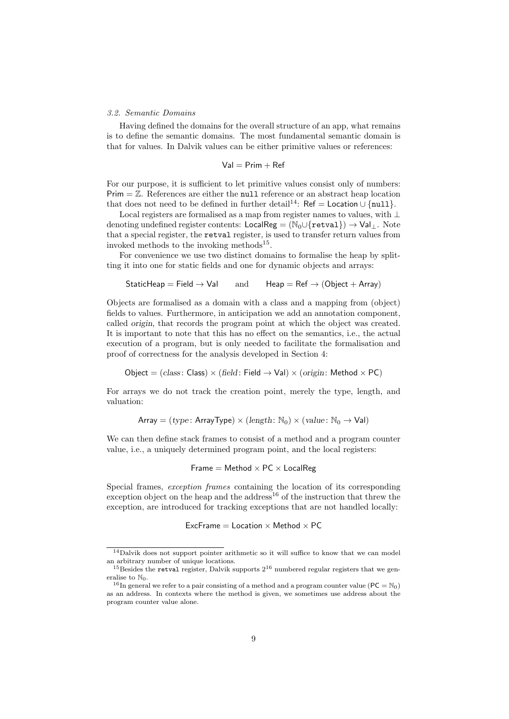### 3.2. Semantic Domains

Having defined the domains for the overall structure of an app, what remains is to define the semantic domains. The most fundamental semantic domain is that for values. In Dalvik values can be either primitive values or references:

$$
\mathsf{Val} = \mathsf{Prim} + \mathsf{Ref}
$$

For our purpose, it is sufficient to let primitive values consist only of numbers:  $Prim = \mathbb{Z}$ . References are either the null reference or an abstract heap location that does not need to be defined in further detail<sup>14</sup>: Ref = Location ∪ {null}.

Local registers are formalised as a map from register names to values, with ⊥ denoting undefined register contents: LocalReg =  $(N_0 \cup \{ \text{retval} \}) \rightarrow \text{Val}_\perp$ . Note that a special register, the retval register, is used to transfer return values from invoked methods to the invoking methods<sup>15</sup>.

For convenience we use two distinct domains to formalise the heap by splitting it into one for static fields and one for dynamic objects and arrays:

$$
\mathsf{StaticHeap} = \mathsf{Field} \to \mathsf{Val} \qquad \text{and} \qquad \mathsf{Heap} = \mathsf{Ref} \to (\mathsf{Object} + \mathsf{Array})
$$

Objects are formalised as a domain with a class and a mapping from (object) fields to values. Furthermore, in anticipation we add an annotation component, called origin, that records the program point at which the object was created. It is important to note that this has no effect on the semantics, i.e., the actual execution of a program, but is only needed to facilitate the formalisation and proof of correctness for the analysis developed in Section 4:

$$
Object = (class: Class) \times (field: Field \rightarrow Val) \times (origin: Method \times PC)
$$

For arrays we do not track the creation point, merely the type, length, and valuation:

$$
\text{Array} = (type: \text{ArrayType}) \times (length: \mathbb{N}_0) \times (value: \mathbb{N}_0 \rightarrow \text{Val})
$$

We can then define stack frames to consist of a method and a program counter value, i.e., a uniquely determined program point, and the local registers:

$$
Frame = Method \times PC \times LocalReg
$$

Special frames, *exception frames* containing the location of its corresponding exception object on the heap and the address<sup>16</sup> of the instruction that threw the exception, are introduced for tracking exceptions that are not handled locally:

ExcFrame  $=$  Location  $\times$  Method  $\times$  PC

<sup>14</sup>Dalvik does not support pointer arithmetic so it will suffice to know that we can model an arbitrary number of unique locations.

 $15$ Besides the retval register, Dalvik supports  $2^{16}$  numbered regular registers that we generalise to  $\mathbb{N}_0$ .

<sup>&</sup>lt;sup>16</sup>In general we refer to a pair consisting of a method and a program counter value ( $PC = N_0$ ) as an address. In contexts where the method is given, we sometimes use address about the program counter value alone.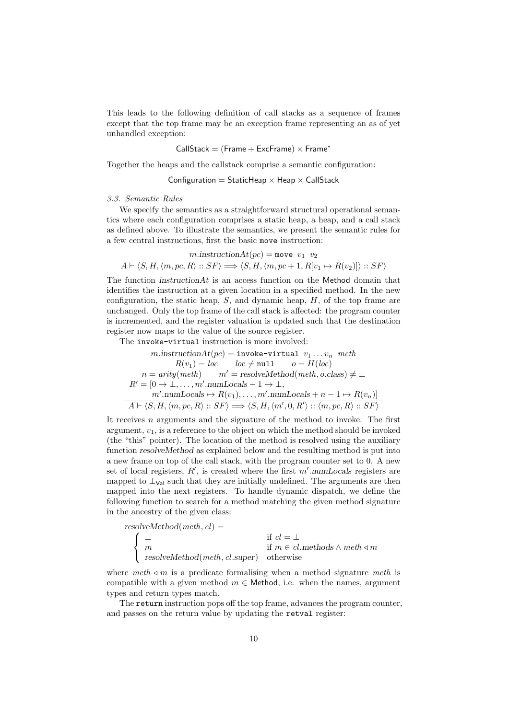This leads to the following definition of call stacks as a sequence of frames except that the top frame may be an exception frame representing an as of yet unhandled exception:

$$
CallStack = (Frame + ExcFrame) \times Frame^*
$$

Together the heaps and the callstack comprise a semantic configuration:

Configuration = StaticHeap  $\times$  Heap  $\times$  CallStack

#### 3.3. Semantic Rules

We specify the semantics as a straightforward structural operational semantics where each configuration comprises a static heap, a heap, and a call stack as defined above. To illustrate the semantics, we present the semantic rules for a few central instructions, first the basic move instruction:

$$
m.\text{instructionAt}(pc) = \text{move } v_1 \ v_2
$$

$$
A \vdash \langle S, H, \langle m, pc, R \rangle :: SF \rangle \Longrightarrow \langle S, H, \langle m, pc + 1, R[v_1 \mapsto R(v_2)] \rangle :: SF \rangle
$$

The function *instructionAt* is an access function on the Method domain that identifies the instruction at a given location in a specified method. In the new configuration, the static heap,  $S$ , and dynamic heap,  $H$ , of the top frame are unchanged. Only the top frame of the call stack is affected: the program counter is incremented, and the register valuation is updated such that the destination register now maps to the value of the source register.

The invoke-virtual instruction is more involved:

$$
m.\text{instructionAt}(pc) = \text{invoke-virtual } v_1 \dots v_n \text{ } meth
$$
  
\n
$$
R(v_1) = loc \qquad loc \neq \text{null} \qquad o = H(loc)
$$
  
\n
$$
n = \text{arity}(\text{meth}) \qquad m' = \text{resolveMethod}(\text{meth}, o.\text{class}) \neq \bot
$$
  
\n
$$
R' = [0 \rightarrow \bot, \dots, m'.\text{numLocals} - 1 \rightarrow \bot,
$$
  
\n
$$
m'.\text{numLocals} \mapsto R(v_1), \dots, m'.\text{numLocals} + n - 1 \mapsto R(v_n)]
$$
  
\n
$$
A \vdash \langle S, H, \langle m, pc, R \rangle :: SF \rangle \Longrightarrow \langle S, H, \langle m', 0, R' \rangle :: \langle m, pc, R \rangle :: SF \rangle
$$

It receives n arguments and the signature of the method to invoke. The first argument,  $v_1$ , is a reference to the object on which the method should be invoked (the "this" pointer). The location of the method is resolved using the auxiliary function resolveMethod as explained below and the resulting method is put into a new frame on top of the call stack, with the program counter set to 0. A new set of local registers,  $R'$ , is created where the first  $m'$  numLocals registers are mapped to  $\perp_{\text{Val}}$  such that they are initially undefined. The arguments are then mapped into the next registers. To handle dynamic dispatch, we define the following function to search for a method matching the given method signature in the ancestry of the given class:

resolveMethod(*meth*, *cl*) =  
\n
$$
\begin{cases}\n\frac{\bot}{m} & \text{if } cl = \bot\\
m & \text{if } m \in cl.\text{methods} \land \text{meth} \lhd m\\
\text{resolveMethod}(\text{meth}, \text{cl}.\text{super}) & \text{otherwise}\n\end{cases}
$$

where meth  $\triangleleft m$  is a predicate formalising when a method signature meth is compatible with a given method  $m \in$  Method, i.e. when the names, argument types and return types match.

The return instruction pops off the top frame, advances the program counter, and passes on the return value by updating the retval register: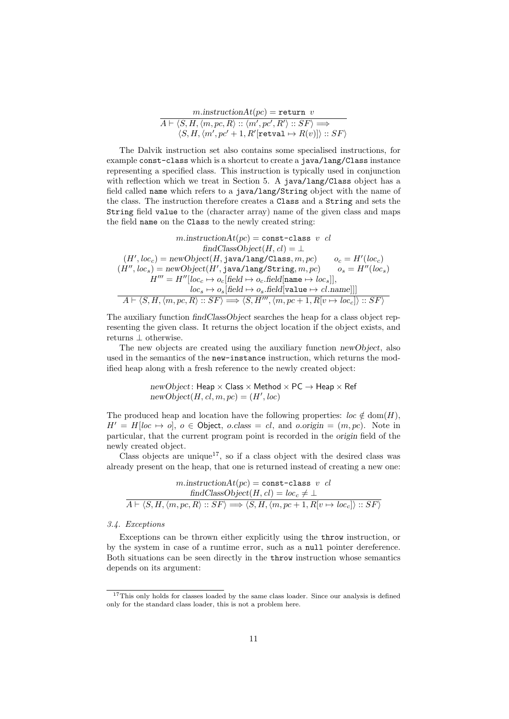$$
m.\text{instructionAt}(pc) = \text{return } v
$$
\n
$$
A \vdash \langle S, H, \langle m, pc, R \rangle :: \langle m', pc', R' \rangle :: SF \rangle \Longrightarrow
$$
\n
$$
\langle S, H, \langle m', pc' + 1, R'[\text{retval} \mapsto R(v)] \rangle :: SF \rangle
$$

The Dalvik instruction set also contains some specialised instructions, for example const-class which is a shortcut to create a java/lang/Class instance representing a specified class. This instruction is typically used in conjunction with reflection which we treat in Section 5. A java/lang/Class object has a field called name which refers to a java/lang/String object with the name of the class. The instruction therefore creates a Class and a String and sets the String field value to the (character array) name of the given class and maps the field name on the Class to the newly created string:

$$
\begin{array}{c} \text{$m$}.instructionAt(pc) = \texttt{const-class} \ v \ cl \\ \text{ $indClassObject(H, cl) = \bot$} \\ (H', loc_c) = \texttt{newObject}(H, \texttt{java/lang/Class}, m, pc) \qquad o_c = H' (loc_c) \\ (H'', loc_s) = \texttt{newObject}(H', \texttt{java/lang/String}, m, pc) \qquad o_s = H'' (loc_s) \\ H''' = H'' [loc_c \mapsto o_c[\text{field} \mapsto o_c.\text{field}[\text{name} \mapsto loc_s]], \\ \text{$loc_s \mapsto o_s[\text{field} \mapsto o_s.\text{field}[\text{value} \mapsto cl.\text{name}]]] \\ \hline A \vdash \langle S, H, \langle m, pc, R \rangle :: SF \rangle \Longrightarrow \langle S, H''', \langle m, pc+1, R[v \mapsto loc_c] \rangle :: SF \rangle \end{array}
$$

The auxiliary function findClassObject searches the heap for a class object representing the given class. It returns the object location if the object exists, and returns ⊥ otherwise.

The new objects are created using the auxiliary function newObject, also used in the semantics of the new-instance instruction, which returns the modified heap along with a fresh reference to the newly created object:

> $newObject$ : Heap  $\times$  Class  $\times$  Method  $\times$  PC  $\rightarrow$  Heap  $\times$  Ref  $newObject(H, cl, m, pc) = (H', loc)$

The produced heap and location have the following properties:  $\text{loc } \notin \text{dom}(H)$ ,  $H' = H[loc \rightarrow o], o \in Object, o.class = cl, and o.origin = (m, pc). Note in$ particular, that the current program point is recorded in the origin field of the newly created object.

Class objects are unique<sup>17</sup>, so if a class object with the desired class was already present on the heap, that one is returned instead of creating a new one:

$$
m.\text{instructionAt}(pc) = \text{const-class } v \text{ cl}
$$

$$
\text{findClassObject}(H, cl) = loc_c \neq \bot
$$

$$
\overline{A \vdash \langle S, H, \langle m, pc, R \rangle :: SF \rangle} \Longrightarrow \langle S, H, \langle m, pc + 1, R[v \mapsto loc_c] \rangle :: SF \rangle
$$

#### 3.4. Exceptions

Exceptions can be thrown either explicitly using the throw instruction, or by the system in case of a runtime error, such as a null pointer dereference. Both situations can be seen directly in the throw instruction whose semantics depends on its argument:

<sup>&</sup>lt;sup>17</sup>This only holds for classes loaded by the same class loader. Since our analysis is defined only for the standard class loader, this is not a problem here.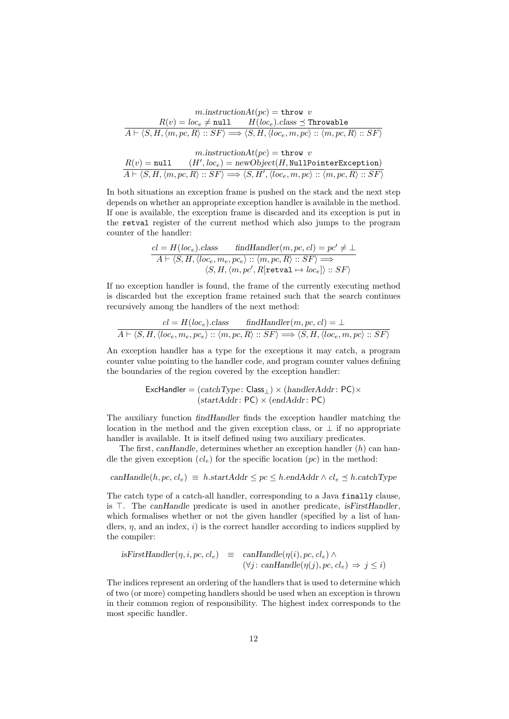$$
m.\text{instructionAt}(pc) = \text{throw } v
$$
\n
$$
\overline{A \vdash \langle S, H, \langle m, pc, R \rangle :: SF \rangle} = \langle A \vdash \langle S, H, \langle m, pc, R \rangle :: SF \rangle \implies \langle S, H, \langle loc_e, m, pc \rangle :: \langle m, pc, R \rangle :: SF \rangle}
$$
\n
$$
m.\text{instructionAt}(pc) = \text{throw } v
$$
\n
$$
\overline{R(v) = \text{null}} \quad (H', loc_e) = \text{newObject}(H, \text{NullPointerException})
$$
\n
$$
\overline{A \vdash \langle S, H, \langle m, pc, R \rangle :: SF \rangle} \implies \langle S, H', \langle loc_e, m, pc \rangle :: \langle m, pc, R \rangle :: SF \rangle
$$

In both situations an exception frame is pushed on the stack and the next step depends on whether an appropriate exception handler is available in the method. If one is available, the exception frame is discarded and its exception is put in the retval register of the current method which also jumps to the program counter of the handler:

$$
\begin{array}{ll}\n\mathit{cl} = H(loc_e).\mathit{class} & \mathit{findHandler}(m, pc, \mathit{cl}) = pc' \neq \bot \\
\hline\nA \vdash \langle S, H, \langle loc_e, m_e, pc_e \rangle :: \langle m, pc, R \rangle :: SF \rangle \Longrightarrow \\
&\langle S, H, \langle m, pc', R[\mathtt{retval} \mapsto loc_e] \rangle :: SF \rangle\n\end{array}
$$

If no exception handler is found, the frame of the currently executing method is discarded but the exception frame retained such that the search continues recursively among the handlers of the next method:

$$
cl = H(loc_e).class \quad findHandler(m, pc, cl) = \bot
$$
  

$$
A \vdash \langle S, H, \langle loc_e, m_e, pc_e \rangle :: \langle m, pc, R \rangle :: SF \rangle \Longrightarrow \langle S, H, \langle loc_e, m, pc \rangle :: SF \rangle
$$

An exception handler has a type for the exceptions it may catch, a program counter value pointing to the handler code, and program counter values defining the boundaries of the region covered by the exception handler:

$$
ExcHandler = (catchType: Class_{\perp}) \times (handlerAddr: PC) \times (startAddr: PC) \times (endAddr: PC)
$$

The auxiliary function findHandler finds the exception handler matching the location in the method and the given exception class, or  $\perp$  if no appropriate handler is available. It is itself defined using two auxiliary predicates.

The first, canHandle, determines whether an exception handler  $(h)$  can handle the given exception  $(cl_e)$  for the specific location  $(pc)$  in the method:

$$
canHandle(h, pc, cl_e) \equiv h.startAddr \le pc \le h.endAddr \wedge cl_e \le h.catchType
$$

The catch type of a catch-all handler, corresponding to a Java finally clause, is  $\top$ . The canHandle predicate is used in another predicate, isFirstHandler, which formalises whether or not the given handler (specified by a list of handlers,  $\eta$ , and an index, i) is the correct handler according to indices supplied by the compiler:

isFirstHandler(
$$
\eta, i, pc, cl_e
$$
)  $\equiv$  canHandler( $\eta(i), pc, cl_e$ )  $\land$   
( $\forall j$ : canHandler( $\eta(j), pc, cl_e$ )  $\Rightarrow$   $j \leq i$ )

The indices represent an ordering of the handlers that is used to determine which of two (or more) competing handlers should be used when an exception is thrown in their common region of responsibility. The highest index corresponds to the most specific handler.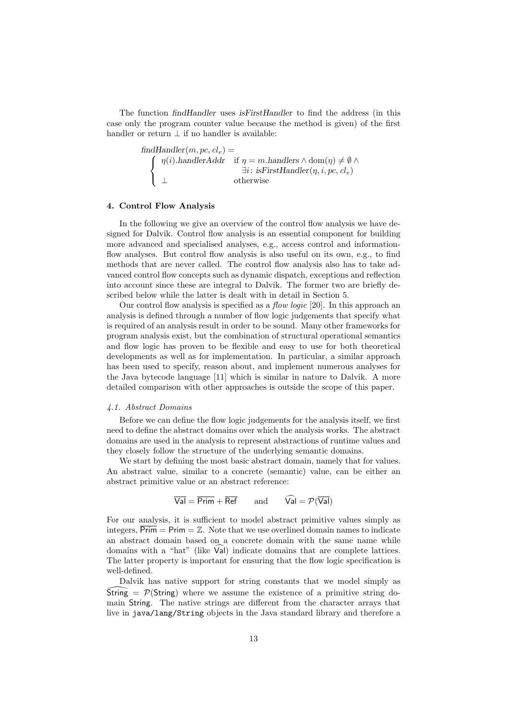The function findHandler uses isFirstHandler to find the address (in this case only the program counter value because the method is given) of the first handler or return  $\perp$  if no handler is available:

> $findHandler(m, pc, cl_e) =$  $\sqrt{ }$  $\int \eta(i) \cdot \text{handlerAddr} \quad \text{if } \eta = m \cdot \text{handlers} \land \text{dom}(\eta) \neq \emptyset \land \exists i \cdot \text{isFirstHandler}(n, i, nc, cl)$  $\mathcal{L}$  $\exists i: \text{ isFirstHandler}(\eta, i, pc, cl_e)$ ⊥ otherwise

### 4. Control Flow Analysis

In the following we give an overview of the control flow analysis we have designed for Dalvik. Control flow analysis is an essential component for building more advanced and specialised analyses, e.g., access control and informationflow analyses. But control flow analysis is also useful on its own, e.g., to find methods that are never called. The control flow analysis also has to take advanced control flow concepts such as dynamic dispatch, exceptions and reflection into account since these are integral to Dalvik. The former two are briefly described below while the latter is dealt with in detail in Section 5.

Our control flow analysis is specified as a flow logic [20]. In this approach an analysis is defined through a number of flow logic judgements that specify what is required of an analysis result in order to be sound. Many other frameworks for program analysis exist, but the combination of structural operational semantics and flow logic has proven to be flexible and easy to use for both theoretical developments as well as for implementation. In particular, a similar approach has been used to specify, reason about, and implement numerous analyses for the Java bytecode language [11] which is similar in nature to Dalvik. A more detailed comparison with other approaches is outside the scope of this paper.

## 4.1. Abstract Domains

Before we can define the flow logic judgements for the analysis itself, we first need to define the abstract domains over which the analysis works. The abstract domains are used in the analysis to represent abstractions of runtime values and they closely follow the structure of the underlying semantic domains.

We start by defining the most basic abstract domain, namely that for values. An abstract value, similar to a concrete (semantic) value, can be either an abstract primitive value or an abstract reference:

$$
\overline{\mathsf{Val}} = \overline{\mathsf{Prim}} + \overline{\mathsf{Ref}} \qquad \text{and} \qquad \widehat{\mathsf{Val}} = \mathcal{P}(\overline{\mathsf{Val}})
$$

For our analysis, it is sufficient to model abstract primitive values simply as integers,  $\overline{Prim} = \overline{Prim} = \mathbb{Z}$ . Note that we use overlined domain names to indicate an abstract domain based on a concrete domain with the same name while domains with a "hat" (like  $\vert \mathsf{Val} \vert$ ) indicate domains that are complete lattices. The latter property is important for ensuring that the flow logic specification is well-defined.

Dalvik has native support for string constants that we model simply as  $\widehat{\text{String}} = \mathcal{P}(\text{String})$  where we assume the existence of a primitive string domain String. The native strings are different from the character arrays that live in java/lang/String objects in the Java standard library and therefore a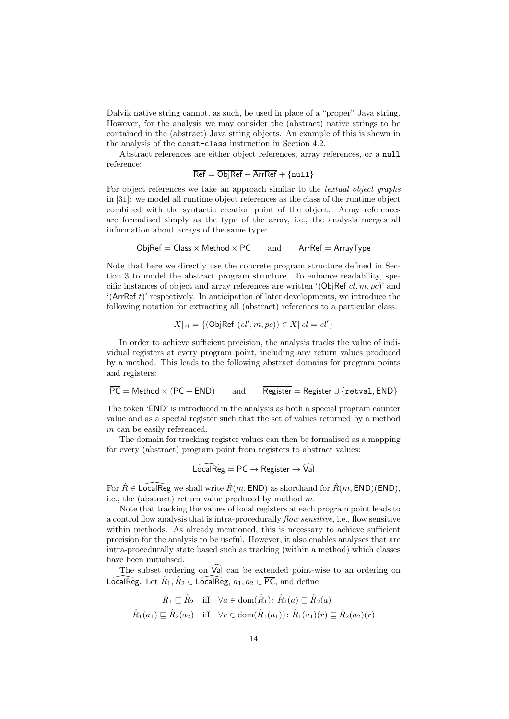Dalvik native string cannot, as such, be used in place of a "proper" Java string. However, for the analysis we may consider the (abstract) native strings to be contained in the (abstract) Java string objects. An example of this is shown in the analysis of the const-class instruction in Section 4.2.

Abstract references are either object references, array references, or a null reference:

 $\overline{\text{Ref}} = \overline{\text{Object}} + \overline{\text{ArrRef}} + \{\text{null}\}$ 

For object references we take an approach similar to the textual object graphs in [31]: we model all runtime object references as the class of the runtime object combined with the syntactic creation point of the object. Array references are formalised simply as the type of the array, i.e., the analysis merges all information about arrays of the same type:

 $\overline{\text{Object}}$  = Class  $\times$  Method  $\times$  PC and  $\overline{\text{ArrRef}}$  = ArrayType

Note that here we directly use the concrete program structure defined in Section 3 to model the abstract program structure. To enhance readability, specific instances of object and array references are written '(ObjRef cl, m, pc)' and  $({\sf ArrRef\ }t)$ ' respectively. In anticipation of later developments, we introduce the following notation for extracting all (abstract) references to a particular class:

$$
X|_{cl} = \{ (\text{ObjRef } (cl', m, pc)) \in X | cl = cl' \}
$$

In order to achieve sufficient precision, the analysis tracks the value of individual registers at every program point, including any return values produced by a method. This leads to the following abstract domains for program points and registers:

 $\overline{PC}$  = Method × (PC + END) and  $\overline{Register}$  = Register ∪ {retval, END}

The token 'END' is introduced in the analysis as both a special program counter value and as a special register such that the set of values returned by a method m can be easily referenced.

The domain for tracking register values can then be formalised as a mapping for every (abstract) program point from registers to abstract values:

$$
\widehat{\mathsf{LocalReg}} = \overline{\mathsf{PC}} \to \overline{\mathsf{Register}} \to \widehat{\mathsf{Val}}
$$

For  $\hat{R} \in \mathsf{LocalReg}$  we shall write  $\hat{R}(m, \mathsf{END})$  as shorthand for  $\hat{R}(m, \mathsf{END})(\mathsf{END}),$ i.e., the (abstract) return value produced by method m.

Note that tracking the values of local registers at each program point leads to a control flow analysis that is intra-procedurally *flow sensitive*, i.e., flow sensitive within methods. As already mentioned, this is necessary to achieve sufficient precision for the analysis to be useful. However, it also enables analyses that are intra-procedurally state based such as tracking (within a method) which classes have been initialised.

The subset ordering on  $\widehat{Val}$  can be extended point-wise to an ordering on LocalReg. Let  $\hat{R}_1, \hat{R}_2 \in \widehat{\textsf{LocalReg}}, \ a_1, a_2 \in \overline{\textsf{PC}}, \text{ and define}$ 

$$
\hat{R}_1 \sqsubseteq \hat{R}_2 \quad \text{iff} \quad \forall a \in \text{dom}(\hat{R}_1) : \hat{R}_1(a) \sqsubseteq \hat{R}_2(a)
$$
\n
$$
\hat{R}_1(a_1) \sqsubseteq \hat{R}_2(a_2) \quad \text{iff} \quad \forall r \in \text{dom}(\hat{R}_1(a_1)) : \hat{R}_1(a_1)(r) \sqsubseteq \hat{R}_2(a_2)(r)
$$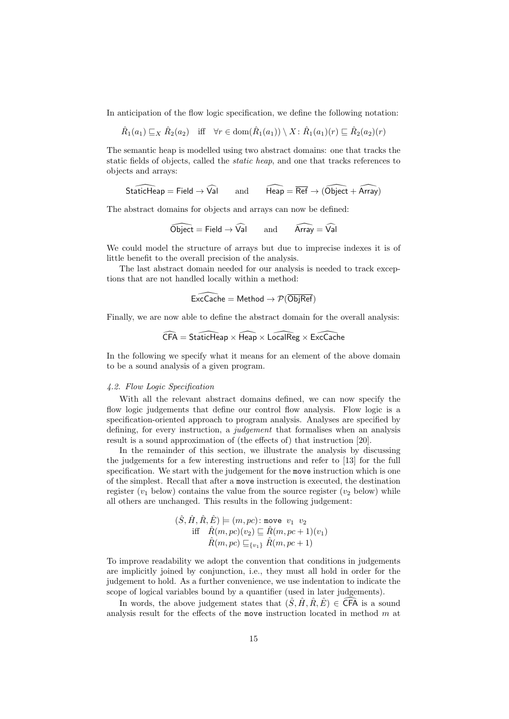In anticipation of the flow logic specification, we define the following notation:

 $\hat{R}_1(a_1) \sqsubseteq_X \hat{R}_2(a_2)$  iff  $\forall r \in \text{dom}(\hat{R}_1(a_1)) \setminus X : \hat{R}_1(a_1)(r) \sqsubseteq \hat{R}_2(a_2)(r)$ 

The semantic heap is modelled using two abstract domains: one that tracks the static fields of objects, called the static heap, and one that tracks references to objects and arrays:

$$
\widehat{\mathsf{StaticHeap}} = \mathsf{Field} \to \widehat{\mathsf{Val}} \qquad \text{and} \qquad \widehat{\mathsf{Heap}} = \overline{\mathsf{Ref}} \to (\widehat{\mathsf{Object}} + \widehat{\mathsf{Array}})
$$

The abstract domains for objects and arrays can now be defined:

$$
\widehat{\text{Object}} = \text{Field} \rightarrow \widehat{\text{Val}} \qquad \text{and} \qquad \widehat{\text{Array}} = \widehat{\text{Val}}
$$

We could model the structure of arrays but due to imprecise indexes it is of little benefit to the overall precision of the analysis.

The last abstract domain needed for our analysis is needed to track exceptions that are not handled locally within a method:

$$
\widehat{\mathsf{ExcCache}} = \mathsf{Method} \to \mathcal{P}(\overline{\mathsf{ObjRef}})
$$

Finally, we are now able to define the abstract domain for the overall analysis:

$$
\widehat{\text{CFA}} = \text{StaticHeap} \times \widehat{\text{Heap}} \times \widehat{\text{LocalReg}} \times \widehat{\text{ExcCache}}
$$

In the following we specify what it means for an element of the above domain to be a sound analysis of a given program.

# 4.2. Flow Logic Specification

With all the relevant abstract domains defined, we can now specify the flow logic judgements that define our control flow analysis. Flow logic is a specification-oriented approach to program analysis. Analyses are specified by defining, for every instruction, a judgement that formalises when an analysis result is a sound approximation of (the effects of) that instruction [20].

In the remainder of this section, we illustrate the analysis by discussing the judgements for a few interesting instructions and refer to [13] for the full specification. We start with the judgement for the move instruction which is one of the simplest. Recall that after a move instruction is executed, the destination register  $(v_1$  below) contains the value from the source register  $(v_2$  below) while all others are unchanged. This results in the following judgement:

$$
(\hat{S}, \hat{H}, \hat{R}, \hat{E}) \models (m, pc) : \text{move } v_1 \ v_2
$$
  
iff 
$$
\hat{R}(m, pc)(v_2) \sqsubseteq \hat{R}(m, pc + 1)(v_1)
$$
  

$$
\hat{R}(m, pc) \sqsubseteq_{\{v_1\}} \hat{R}(m, pc + 1)
$$

To improve readability we adopt the convention that conditions in judgements are implicitly joined by conjunction, i.e., they must all hold in order for the judgement to hold. As a further convenience, we use indentation to indicate the scope of logical variables bound by a quantifier (used in later judgements).

In words, the above judgement states that  $(\hat{S}, \hat{H}, \hat{R}, \hat{E}) \in \widehat{\text{CFA}}$  is a sound analysis result for the effects of the move instruction located in method  $m$  at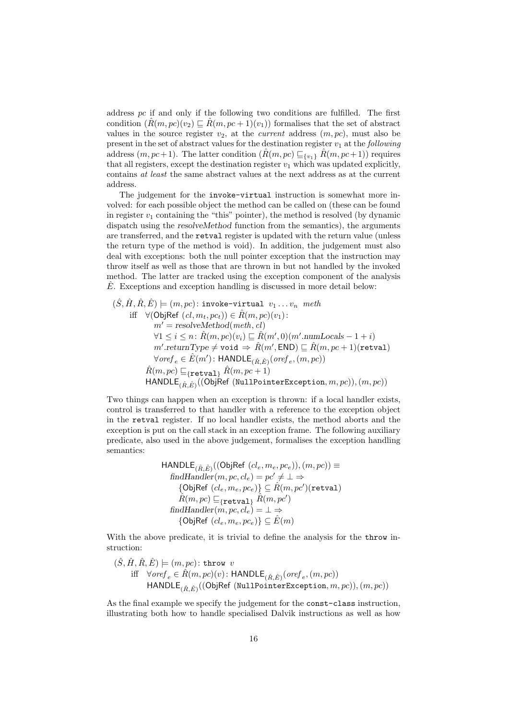address  $pc$  if and only if the following two conditions are fulfilled. The first condition  $(R(m, pc)(v_2) \sqsubseteq R(m, pc + 1)(v_1))$  formalises that the set of abstract values in the source register  $v_2$ , at the *current* address  $(m, pc)$ , must also be present in the set of abstract values for the destination register  $v_1$  at the following address  $(m, pc+1)$ . The latter condition  $(\hat{R}(m, pc) \sqsubseteq_{\{v_1\}} \hat{R}(m, pc+1))$  requires that all registers, except the destination register  $v_1$  which was updated explicitly, contains at least the same abstract values at the next address as at the current address.

The judgement for the invoke-virtual instruction is somewhat more involved: for each possible object the method can be called on (these can be found in register  $v_1$  containing the "this" pointer), the method is resolved (by dynamic dispatch using the resolveMethod function from the semantics), the arguments are transferred, and the retval register is updated with the return value (unless the return type of the method is void). In addition, the judgement must also deal with exceptions: both the null pointer exception that the instruction may throw itself as well as those that are thrown in but not handled by the invoked method. The latter are tracked using the exception component of the analysis  $\hat{E}$ . Exceptions and exception handling is discussed in more detail below:

$$
(\hat{S}, \hat{H}, \hat{R}, \hat{E}) \models (m, pc): \text{invoke-virtual } v_1 \dots v_n \text{ meth}
$$
  
iff 
$$
\forall (\text{ObjRef } (cl, m_t, pc_t)) \in \hat{R}(m, pc)(v_1):
$$

$$
m' = \text{resolveMethod}(meth, cl)
$$

$$
\forall 1 \leq i \leq n: \hat{R}(m, pc)(v_i) \sqsubseteq \hat{R}(m', 0)(m'. \text{numLocals} - 1 + i)
$$

$$
m'. \text{returnType} \neq \text{void} \Rightarrow \hat{R}(m', \text{END}) \sqsubseteq \hat{R}(m, pc + 1)(\text{retval})
$$

$$
\forall \text{oref}_e \in \hat{E}(m'): \text{HANDLE}_{(\hat{R}, \hat{E})}(\text{oref}_e, (m, pc))
$$

$$
\hat{R}(m, pc) \sqsubseteq_{\{\text{retval}\}} \hat{R}(m, pc + 1)
$$

$$
\text{HANDLE}_{(\hat{R}, \hat{E})}((\text{ObjRef (NullPointerException}, m, pc)), (m, pc))
$$

Two things can happen when an exception is thrown: if a local handler exists, control is transferred to that handler with a reference to the exception object in the retval register. If no local handler exists, the method aborts and the exception is put on the call stack in an exception frame. The following auxiliary predicate, also used in the above judgement, formalises the exception handling semantics:

HANDLE<sub>(R, E)</sub><sup>(O</sup>(ObjRef (cl<sub>e</sub>, m<sub>e</sub>, pc<sub>e</sub>)), (m, pc)) ≡

\nfindHandler(m, pc, cl<sub>e</sub>) = pc' ≠ ⊥ ⇒

\n{ObjRef (cl<sub>e</sub>, m<sub>e</sub>, pc<sub>e</sub>)} ⊆ 
$$
\hat{R}(m, pc')
$$
(retval)

\n $\hat{R}(m, pc) \sqsubseteq_{\{\text{retval}\}} \hat{R}(m, pc')$ 

\nfindHandler(m, pc, cl<sub>e</sub>) = ⊥ ⇒

\n{ObjRef (cl<sub>e</sub>, m<sub>e</sub>, pc<sub>e</sub>)} ⊆  $\hat{E}(m)$ 

With the above predicate, it is trivial to define the analysis for the **throw** instruction:

$$
\begin{aligned} (\hat{S},\hat{H},\hat{R},\hat{E}) & \models (m,pc) \colon \texttt{throw } v \\ \text{iff } &\forall \textit{oref}_{e} \in \hat{R}(m,pc)(v) \colon \textsf{HANDLE}_{(\hat{R},\hat{E})}(\textit{oref}_{e},(m,pc)) \\ \textsf{HANDLE}_{(\hat{R},\hat{E})}((\textsf{ObjRef (NullPointerException},m,pc)),(m,pc)) \end{aligned}
$$

As the final example we specify the judgement for the const-class instruction, illustrating both how to handle specialised Dalvik instructions as well as how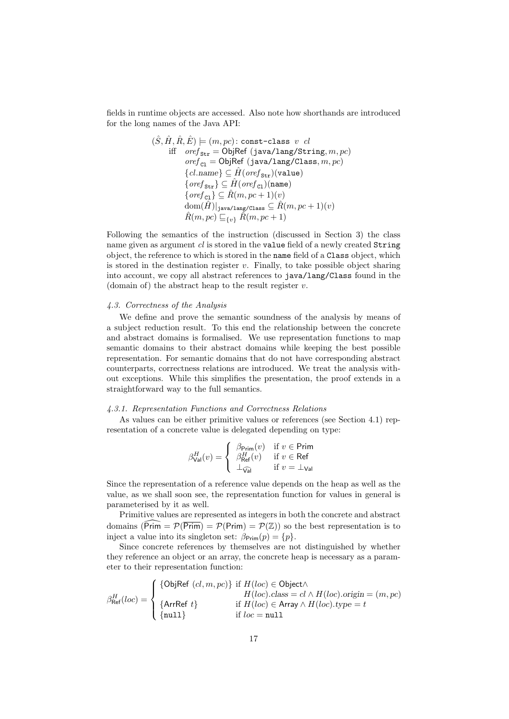fields in runtime objects are accessed. Also note how shorthands are introduced for the long names of the Java API:

(S, ˆ H, ˆ R, ˆ Eˆ) |= (m, pc): const-class v cl iff oref Str = ObjRef (java/lang/String, m, pc) oref Cl = ObjRef (java/lang/Class, m, pc) {cl.name} ⊆ <sup>H</sup><sup>ˆ</sup> (oref Str)(value) {oref Str} ⊆ <sup>H</sup><sup>ˆ</sup> (oref Cl)(name) {oref Cl} ⊆ <sup>R</sup>ˆ(m, pc + 1)(v) dom(Hˆ )|java/lang/Class ⊆ Rˆ(m, pc + 1)(v) Rˆ(m, pc) v{v} Rˆ(m, pc + 1)

Following the semantics of the instruction (discussed in Section 3) the class name given as argument cl is stored in the value field of a newly created String object, the reference to which is stored in the name field of a Class object, which is stored in the destination register  $v$ . Finally, to take possible object sharing into account, we copy all abstract references to java/lang/Class found in the (domain of) the abstract heap to the result register  $v$ .

# 4.3. Correctness of the Analysis

We define and prove the semantic soundness of the analysis by means of a subject reduction result. To this end the relationship between the concrete and abstract domains is formalised. We use representation functions to map semantic domains to their abstract domains while keeping the best possible representation. For semantic domains that do not have corresponding abstract counterparts, correctness relations are introduced. We treat the analysis without exceptions. While this simplifies the presentation, the proof extends in a straightforward way to the full semantics.

# 4.3.1. Representation Functions and Correctness Relations

As values can be either primitive values or references (see Section 4.1) representation of a concrete value is delegated depending on type:

$$
\beta_{\text{Val}}^{H}(v) = \left\{ \begin{array}{ll} \beta_{\text{Prim}}(v) & \text{if } v \in \text{Prim} \\ \beta_{\text{Ref}}^{H}(v) & \text{if } v \in \text{Ref} \\ \bot_{\widehat{\text{Val}}} & \text{if } v = \bot_{\text{Val}} \end{array} \right.
$$

Since the representation of a reference value depends on the heap as well as the value, as we shall soon see, the representation function for values in general is parameterised by it as well.

Primitive values are represented as integers in both the concrete and abstract domains  $(\widetilde{\text{Prim}} = \mathcal{P}(\overline{\text{Prim}}) = \mathcal{P}(\text{Prim}) = \mathcal{P}(\mathbb{Z})$  so the best representation is to inject a value into its singleton set:  $\beta_{\text{Prim}}(p) = \{p\}.$ 

Since concrete references by themselves are not distinguished by whether they reference an object or an array, the concrete heap is necessary as a parameter to their representation function:

$$
\beta_{\text{Ref}}^{H}(loc) = \begin{cases}\n\{\text{ObjRef}(cl, m, pc)\} & \text{if } H(loc) \in \text{Object} \land \\
& H(loc).class = cl \land H(loc).origin = (m, pc) \\
\{\text{ArrRef } t\} & \text{if } H(loc) \in \text{Array} \land H(loc).type = t \\
\{\text{null}\} & \text{if } loc = \text{null}\n\end{cases}
$$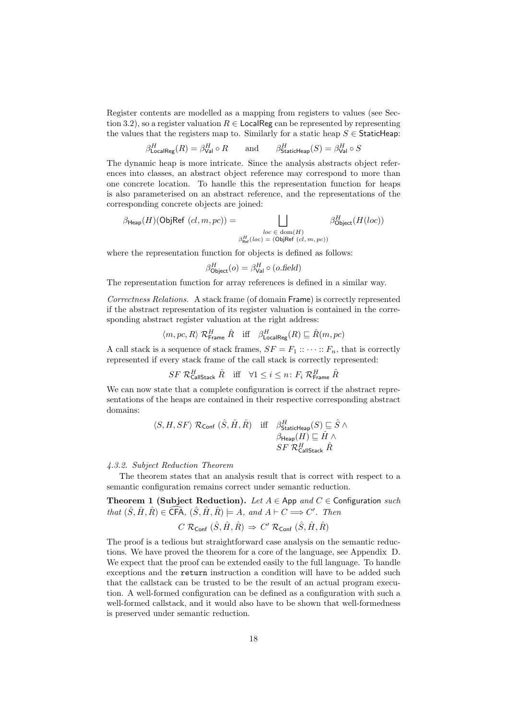Register contents are modelled as a mapping from registers to values (see Section 3.2), so a register valuation  $R \in$  LocalReg can be represented by representing the values that the registers map to. Similarly for a static heap  $S \in$  StaticHeap:

$$
\beta^H_{\text{LocalReg}}(R) = \beta^H_{\text{Val}} \circ R \qquad \text{and} \qquad \beta^H_{\text{StaticHeap}}(S) = \beta^H_{\text{Val}} \circ S
$$

The dynamic heap is more intricate. Since the analysis abstracts object references into classes, an abstract object reference may correspond to more than one concrete location. To handle this the representation function for heaps is also parameterised on an abstract reference, and the representations of the corresponding concrete objects are joined:

$$
\beta_{\mathsf{Heap}}(H)(\mathsf{ObjRef}(cl,m,pc)) = \bigsqcup_{\substack{loc \in \text{ dom}(H) \\ \beta_{\mathsf{Ref}}^H(loc) = (\mathsf{ObjRef}(cl,m,pc))}} \beta_{\mathsf{Object}}^H(H(loc))
$$

where the representation function for objects is defined as follows:

$$
\beta_{\text{Object}}^H(o) = \beta_{\text{Val}}^H \circ (o.\text{field})
$$

The representation function for array references is defined in a similar way.

Correctness Relations. A stack frame (of domain Frame) is correctly represented if the abstract representation of its register valuation is contained in the corresponding abstract register valuation at the right address:

$$
\langle m, pc, R \rangle \mathcal{R}^H_{\text{Frame}} \hat{R} \text{ iff } \beta^H_{\text{LocalReg}}(R) \sqsubseteq \hat{R}(m, pc)
$$

A call stack is a sequence of stack frames,  $SF = F_1 :: \cdots :: F_n$ , that is correctly represented if every stack frame of the call stack is correctly represented:

$$
SF \; \mathcal{R}^H_{\mathsf{CallStack}} \; \hat{R} \quad \text{iff} \quad \forall 1 \leq i \leq n: \, F_i \; \mathcal{R}^H_{\mathsf{Frame}} \; \hat{R}
$$

We can now state that a complete configuration is correct if the abstract representations of the heaps are contained in their respective corresponding abstract domains:

$$
\langle S, H, SF \rangle \mathcal{R}_{\text{Conf}} (\hat{S}, \hat{H}, \hat{R}) \quad \text{iff} \quad \begin{array}{cc} \beta_{\text{StaticHeap}}^H(S) \sqsubseteq \hat{S} \land \\ \beta_{\text{Heap}}(H) \sqsubseteq \hat{H} \land \\ SF \mathcal{R}_{\text{CalState}}^H \hat{R} \end{array}
$$

# 4.3.2. Subject Reduction Theorem

The theorem states that an analysis result that is correct with respect to a semantic configuration remains correct under semantic reduction.

Theorem 1 (Subject Reduction). Let  $A \in$  App and  $C \in$  Configuration such that  $(\hat{S}, \hat{H}, \hat{R}) \in \widehat{\textsf{CFA}}, \ (\hat{S}, \hat{H}, \hat{R}) \models A, \text{ and } A \vdash C \Longrightarrow C'. \text{ Then}$ 

$$
C \mathrel{\mathcal{R}_{\mathsf{Conf}}}(\hat{S}, \hat{H}, \hat{R}) \Rightarrow C' \mathrel{\mathcal{R}_{\mathsf{Conf}}}(\hat{S}, \hat{H}, \hat{R})
$$

The proof is a tedious but straightforward case analysis on the semantic reductions. We have proved the theorem for a core of the language, see Appendix D. We expect that the proof can be extended easily to the full language. To handle exceptions and the return instruction a condition will have to be added such that the callstack can be trusted to be the result of an actual program execution. A well-formed configuration can be defined as a configuration with such a well-formed callstack, and it would also have to be shown that well-formedness is preserved under semantic reduction.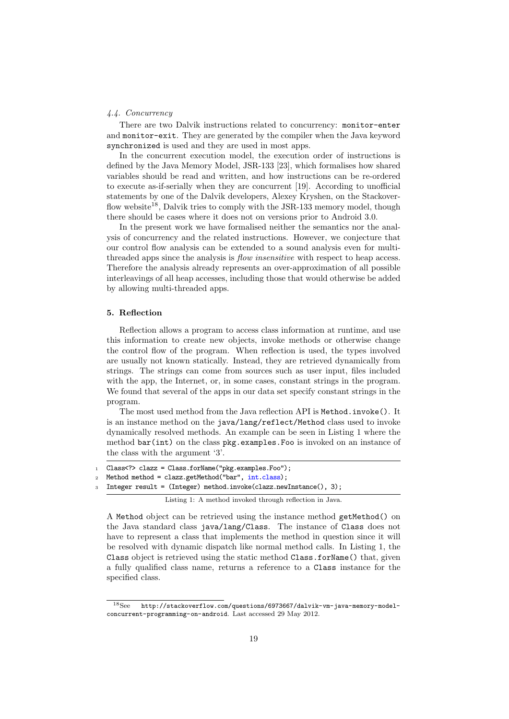# 4.4. Concurrency

There are two Dalvik instructions related to concurrency: monitor-enter and monitor-exit. They are generated by the compiler when the Java keyword synchronized is used and they are used in most apps.

In the concurrent execution model, the execution order of instructions is defined by the Java Memory Model, JSR-133 [23], which formalises how shared variables should be read and written, and how instructions can be re-ordered to execute as-if-serially when they are concurrent [19]. According to unofficial statements by one of the Dalvik developers, Alexey Kryshen, on the Stackoverflow website<sup>18</sup>. Dalvik tries to comply with the JSR-133 memory model, though there should be cases where it does not on versions prior to Android 3.0.

In the present work we have formalised neither the semantics nor the analysis of concurrency and the related instructions. However, we conjecture that our control flow analysis can be extended to a sound analysis even for multithreaded apps since the analysis is *flow insensitive* with respect to heap access. Therefore the analysis already represents an over-approximation of all possible interleavings of all heap accesses, including those that would otherwise be added by allowing multi-threaded apps.

### 5. Reflection

Reflection allows a program to access class information at runtime, and use this information to create new objects, invoke methods or otherwise change the control flow of the program. When reflection is used, the types involved are usually not known statically. Instead, they are retrieved dynamically from strings. The strings can come from sources such as user input, files included with the app, the Internet, or, in some cases, constant strings in the program. We found that several of the apps in our data set specify constant strings in the program.

The most used method from the Java reflection API is Method.invoke(). It is an instance method on the java/lang/reflect/Method class used to invoke dynamically resolved methods. An example can be seen in Listing 1 where the method bar(int) on the class pkg.examples.Foo is invoked on an instance of the class with the argument '3'.

- <sup>1</sup> Class<?> clazz = Class.forName("pkg.examples.Foo");
- 2 Method method = clazz.getMethod("bar",  $int.class$ );
- <sup>3</sup> Integer result = (Integer) method.invoke(clazz.newInstance(), 3);

Listing 1: A method invoked through reflection in Java.

A Method object can be retrieved using the instance method getMethod() on the Java standard class java/lang/Class. The instance of Class does not have to represent a class that implements the method in question since it will be resolved with dynamic dispatch like normal method calls. In Listing 1, the Class object is retrieved using the static method Class.forName() that, given a fully qualified class name, returns a reference to a Class instance for the specified class.

<sup>18</sup>See http://stackoverflow.com/questions/6973667/dalvik-vm-java-memory-modelconcurrent-programming-on-android. Last accessed 29 May 2012.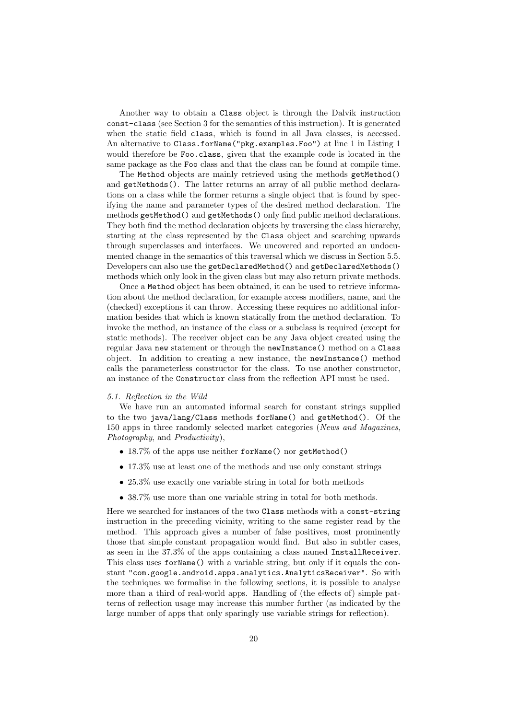Another way to obtain a Class object is through the Dalvik instruction const-class (see Section 3 for the semantics of this instruction). It is generated when the static field class, which is found in all Java classes, is accessed. An alternative to Class.forName("pkg.examples.Foo") at line 1 in Listing 1 would therefore be Foo.class, given that the example code is located in the same package as the Foo class and that the class can be found at compile time.

The Method objects are mainly retrieved using the methods getMethod() and getMethods(). The latter returns an array of all public method declarations on a class while the former returns a single object that is found by specifying the name and parameter types of the desired method declaration. The methods getMethod() and getMethods() only find public method declarations. They both find the method declaration objects by traversing the class hierarchy, starting at the class represented by the Class object and searching upwards through superclasses and interfaces. We uncovered and reported an undocumented change in the semantics of this traversal which we discuss in Section 5.5. Developers can also use the getDeclaredMethod() and getDeclaredMethods() methods which only look in the given class but may also return private methods.

Once a Method object has been obtained, it can be used to retrieve information about the method declaration, for example access modifiers, name, and the (checked) exceptions it can throw. Accessing these requires no additional information besides that which is known statically from the method declaration. To invoke the method, an instance of the class or a subclass is required (except for static methods). The receiver object can be any Java object created using the regular Java new statement or through the newInstance() method on a Class object. In addition to creating a new instance, the newInstance() method calls the parameterless constructor for the class. To use another constructor, an instance of the Constructor class from the reflection API must be used.

## 5.1. Reflection in the Wild

We have run an automated informal search for constant strings supplied to the two java/lang/Class methods forName() and getMethod(). Of the 150 apps in three randomly selected market categories (News and Magazines, Photography, and Productivity),

- 18.7% of the apps use neither forName() nor getMethod()
- 17.3% use at least one of the methods and use only constant strings
- 25.3% use exactly one variable string in total for both methods
- 38.7% use more than one variable string in total for both methods.

Here we searched for instances of the two Class methods with a const-string instruction in the preceding vicinity, writing to the same register read by the method. This approach gives a number of false positives, most prominently those that simple constant propagation would find. But also in subtler cases, as seen in the 37.3% of the apps containing a class named InstallReceiver. This class uses forName() with a variable string, but only if it equals the constant "com.google.android.apps.analytics.AnalyticsReceiver". So with the techniques we formalise in the following sections, it is possible to analyse more than a third of real-world apps. Handling of (the effects of) simple patterns of reflection usage may increase this number further (as indicated by the large number of apps that only sparingly use variable strings for reflection).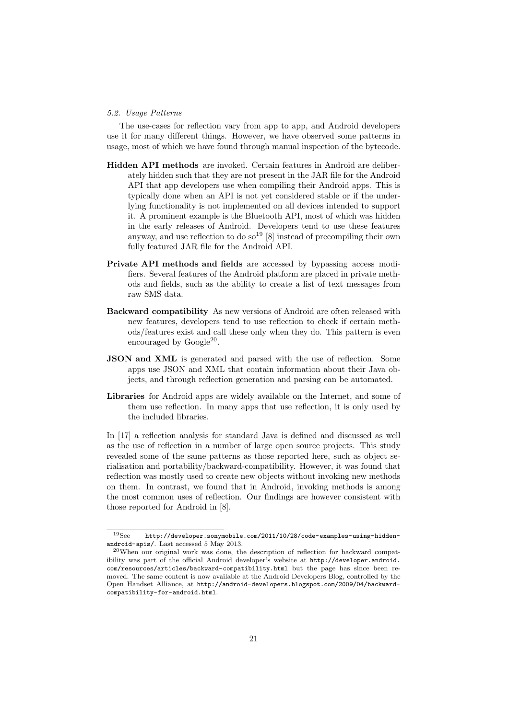### 5.2. Usage Patterns

The use-cases for reflection vary from app to app, and Android developers use it for many different things. However, we have observed some patterns in usage, most of which we have found through manual inspection of the bytecode.

- Hidden API methods are invoked. Certain features in Android are deliberately hidden such that they are not present in the JAR file for the Android API that app developers use when compiling their Android apps. This is typically done when an API is not yet considered stable or if the underlying functionality is not implemented on all devices intended to support it. A prominent example is the Bluetooth API, most of which was hidden in the early releases of Android. Developers tend to use these features anyway, and use reflection to do so<sup>19</sup> [8] instead of precompiling their own fully featured JAR file for the Android API.
- Private API methods and fields are accessed by bypassing access modifiers. Several features of the Android platform are placed in private methods and fields, such as the ability to create a list of text messages from raw SMS data.
- Backward compatibility As new versions of Android are often released with new features, developers tend to use reflection to check if certain methods/features exist and call these only when they do. This pattern is even encouraged by Google<sup>20</sup>.
- **JSON and XML** is generated and parsed with the use of reflection. Some apps use JSON and XML that contain information about their Java objects, and through reflection generation and parsing can be automated.
- Libraries for Android apps are widely available on the Internet, and some of them use reflection. In many apps that use reflection, it is only used by the included libraries.

In [17] a reflection analysis for standard Java is defined and discussed as well as the use of reflection in a number of large open source projects. This study revealed some of the same patterns as those reported here, such as object serialisation and portability/backward-compatibility. However, it was found that reflection was mostly used to create new objects without invoking new methods on them. In contrast, we found that in Android, invoking methods is among the most common uses of reflection. Our findings are however consistent with those reported for Android in [8].

<sup>19</sup>See http://developer.sonymobile.com/2011/10/28/code-examples-using-hiddenandroid-apis/. Last accessed 5 May 2013.

<sup>20</sup>When our original work was done, the description of reflection for backward compatibility was part of the official Android developer's website at http://developer.android. com/resources/articles/backward-compatibility.html but the page has since been removed. The same content is now available at the Android Developers Blog, controlled by the Open Handset Alliance, at http://android-developers.blogspot.com/2009/04/backwardcompatibility-for-android.html.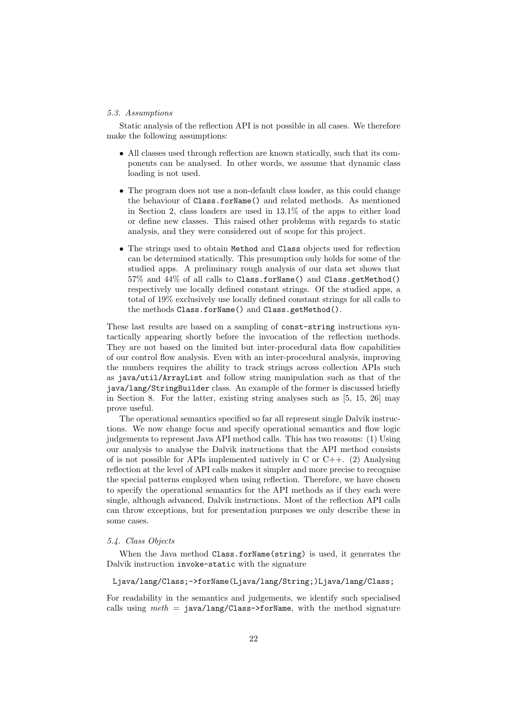### 5.3. Assumptions

Static analysis of the reflection API is not possible in all cases. We therefore make the following assumptions:

- All classes used through reflection are known statically, such that its components can be analysed. In other words, we assume that dynamic class loading is not used.
- The program does not use a non-default class loader, as this could change the behaviour of Class.forName() and related methods. As mentioned in Section 2, class loaders are used in 13.1% of the apps to either load or define new classes. This raised other problems with regards to static analysis, and they were considered out of scope for this project.
- The strings used to obtain Method and Class objects used for reflection can be determined statically. This presumption only holds for some of the studied apps. A preliminary rough analysis of our data set shows that 57% and 44% of all calls to Class.forName() and Class.getMethod() respectively use locally defined constant strings. Of the studied apps, a total of 19% exclusively use locally defined constant strings for all calls to the methods Class.forName() and Class.getMethod().

These last results are based on a sampling of const-string instructions syntactically appearing shortly before the invocation of the reflection methods. They are not based on the limited but inter-procedural data flow capabilities of our control flow analysis. Even with an inter-procedural analysis, improving the numbers requires the ability to track strings across collection APIs such as java/util/ArrayList and follow string manipulation such as that of the java/lang/StringBuilder class. An example of the former is discussed briefly in Section 8. For the latter, existing string analyses such as [5, 15, 26] may prove useful.

The operational semantics specified so far all represent single Dalvik instructions. We now change focus and specify operational semantics and flow logic judgements to represent Java API method calls. This has two reasons: (1) Using our analysis to analyse the Dalvik instructions that the API method consists of is not possible for APIs implemented natively in C or  $C_{++}$ . (2) Analysing reflection at the level of API calls makes it simpler and more precise to recognise the special patterns employed when using reflection. Therefore, we have chosen to specify the operational semantics for the API methods as if they each were single, although advanced, Dalvik instructions. Most of the reflection API calls can throw exceptions, but for presentation purposes we only describe these in some cases.

# 5.4. Class Objects

When the Java method Class.forName(string) is used, it generates the Dalvik instruction invoke-static with the signature

#### Ljava/lang/Class;->forName(Ljava/lang/String;)Ljava/lang/Class;

For readability in the semantics and judgements, we identify such specialised calls using  $meth = java/lang/Class-5forName$ , with the method signature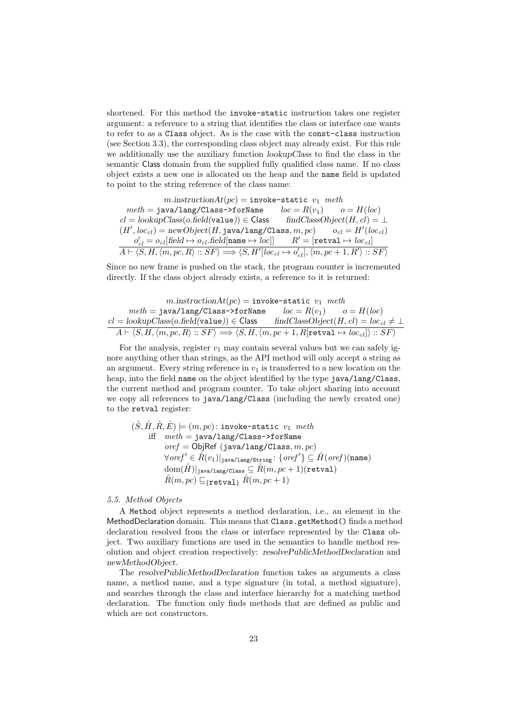shortened. For this method the invoke-static instruction takes one register argument: a reference to a string that identifies the class or interface one wants to refer to as a Class object. As is the case with the const-class instruction (see Section 3.3), the corresponding class object may already exist. For this rule we additionally use the auxiliary function lookupClass to find the class in the semantic Class domain from the supplied fully qualified class name. If no class object exists a new one is allocated on the heap and the name field is updated to point to the string reference of the class name:

 $m.instructionAt(pc) =$ invoke-static  $v_1$  meth  $meth = \texttt{java/Lang/Class-ForName}$   $loc = R(v_1)$   $o = H(loc)$  $cl = lookupClass(o.field(value)) \in Class$  findClassObject $(H, cl) = \perp$  $(H', loc_{cl}) = newObject(H, java/lang/Class, m, pc)$   $o_{cl} = H'(loc_{cl})$  $o'_{cl} = o_{cl}[\text{field} \mapsto o_{cl}.\text{field}[\texttt{name} \mapsto \textit{loc}]] \qquad R' = [\texttt{retval} \mapsto \textit{loc}_{\textit{cl}}]$  $\overline{A} \vdash \langle S, H, \langle m, pc, R \rangle :: SF \rangle \Longrightarrow \langle S, H' [loc_{cl} \mapsto o'_{cl}], \langle m, pc + 1, R' \rangle :: SF \rangle$ 

Since no new frame is pushed on the stack, the program counter is incremented directly. If the class object already exists, a reference to it is returned:

$$
\begin{array}{rcl} m.\mathrm{instruction}At(pc)=\mathrm{invoke}\text{-}\mathrm{static}\ \ v_1\ \text{meth}\\ meth=\mathrm{java/lang/Class\text{-}FormName} & loc=R(v_1) & o=H(loc)\\ \underline{cl=lookupClass(o.field(value))\in Class}\quad \text{findClassObject}(H, cl)=loc_{cl}\neq\bot\\ \hline A\vdash \langle S, H, \langle m, pc, R\rangle::SF\rangle\Longrightarrow \langle S, H, \langle m, pc+1, R[\texttt{retval}\mapsto loc_{cl}]\rangle::SF\rangle \end{array}
$$

For the analysis, register  $v_1$  may contain several values but we can safely ignore anything other than strings, as the API method will only accept a string as an argument. Every string reference in  $v_1$  is transferred to a new location on the heap, into the field name on the object identified by the type java/lang/Class, the current method and program counter. To take object sharing into account we copy all references to java/lang/Class (including the newly created one) to the retval register:

$$
\begin{array}{ll} (\hat{S},\hat{H},\hat{R},\hat{E})\models (m,pc)\colon \text{invoke-static } v_1\ \text{meth} \\ \text{iff} & \text{meth}=\text{java/lang/Class}\text{--}\text{~~}for \texttt Name \\ \text{~ } \\ \text{~ } \\ \text{~ } \\ \text{~ } \\ \text{~ } \\ \text{~ } \\ \text{~ } \\ \text{~ } \\ \text{~ } \\ \text{~ } \\ \text{~ } \\ \text{~ } \\ \text{~ } \\ \text{~ } \\ \text{~ } \\ \text{~ } \\ \text{~ } \\ \text{~ } \\ \text{~ } \\ \text{~ } \\ \text{~ } \\ \text{~ } \\ \text{~ } \\ \text{~ } \\ \text{~ } \\ \text{~ } \\ \text{~ } \\ \text{~ } \\ \text{~ } \\ \text{~ } \\ \text{~ } \\ \text{~ } \\ \text{~ } \\ \text{~ } \\ \text{~ } \\ \text{~ } \\ \text{~ } \\ \text{~ } \\ \text{~ } \\ \text{~ } \\ \text{~ } \\ \text{~ } \\ \text{~ } \\ \text{~ } \\ \text{~ } \\ \text{~ } \\ \text{~ } \\ \text{~ } \\ \text{~ } \\ \text{~ } \\ \text{~ } \\ \text{~ } \\ \text{~ } \\ \text{~ } \\ \text{~ } \\ \text{~ } \\ \text{~ } \\ \text{~ } \\ \text{~ } \\ \text{~ } \\ \text{~ } \\ \text{~ } \\ \text{~ } \\ \text{~ } \\ \text{~ } \\ \text{~ } \\ \text{~ } \\ \text{~ } \\ \text{~ } \\ \text{~ } \\ \text{~ } \\ \text{~ } \\ \text{~ } \\ \text{~ } \\ \text{~ } \\ \text{~ } \\ \text{~ } \\ \text{~ } \\ \text{~ } \\ \text{~ } \\ \text{~ } \\ \text{~ } \\ \text{~ } \\ \text{~ } \\ \text{~ } \\ \text{~ } \\ \text{~ } \\ \text{~ } \\ \text{~ } \\ \text{~ } \\ \text{~ } \\ \text{~ } \\ \text{~ } \\ \text{~ } \\ \text{~ } \\ \text{~ } \\ \text{~ } \\ \text{~ } \\ \text{~ } \\ \text{~ } \\ \text{~ } \\ \text{~ } \\ \text{~ } \\ \text{~ } \\ \text{~ } \\ \text{~ } \\ \text{~ } \\ \text{~ } \\ \text{~ } \\ \text{~ } \\ \text{~ } \\ \text{~ } \\ \
$$

### 5.5. Method Objects

A Method object represents a method declaration, i.e., an element in the MethodDeclaration domain. This means that Class.getMethod() finds a method declaration resolved from the class or interface represented by the Class object. Two auxiliary functions are used in the semantics to handle method resolution and object creation respectively: resolvePublicMethodDeclaration and newMethodObject.

The resolvePublicMethodDeclaration function takes as arguments a class name, a method name, and a type signature (in total, a method signature), and searches through the class and interface hierarchy for a matching method declaration. The function only finds methods that are defined as public and which are not constructors.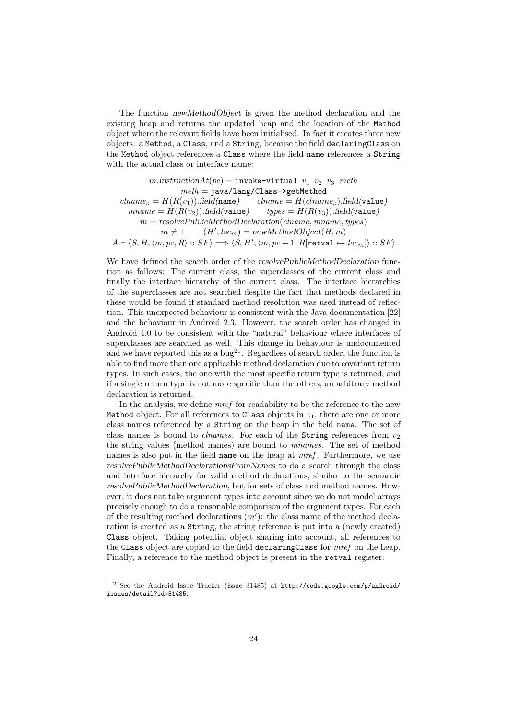The function newMethodObject is given the method declaration and the existing heap and returns the updated heap and the location of the Method object where the relevant fields have been initialised. In fact it creates three new objects: a Method, a Class, and a String, because the field declaringClass on the Method object references a Class where the field name references a String with the actual class or interface name:

 $m.instructionAt(pc) =$ invoke-virtual  $v_1$   $v_2$   $v_3$  meth  $meth = java/lang/Class \rightarrow getMethod$  $clname<sub>o</sub> = H(R(v<sub>1</sub>)).field(name)$   $clname = H(clname<sub>o</sub>).field(value)$  $mname = H(R(v<sub>2</sub>)).field(value)$   $types = H(R(v<sub>3</sub>)).field(value)$  $m =$  resolvePublicMethodDeclaration(clname, mname, types)  $m \neq \perp$  $(H', loc<sub>m</sub>) = newMethodObject(H, m)$  $\overline{A \vdash \langle S, H, \langle m, pc, R \rangle :}: SF\rangle \Longrightarrow \langle S, H', \langle m, pc + 1, R[\texttt{retval} \mapsto \textit{loc}_m]\rangle :: SF\rangle$ 

We have defined the search order of the resolvePublicMethodDeclaration function as follows: The current class, the superclasses of the current class and finally the interface hierarchy of the current class. The interface hierarchies of the superclasses are not searched despite the fact that methods declared in these would be found if standard method resolution was used instead of reflection. This unexpected behaviour is consistent with the Java documentation [22] and the behaviour in Android 2.3. However, the search order has changed in Android 4.0 to be consistent with the "natural" behaviour where interfaces of superclasses are searched as well. This change in behaviour is undocumented and we have reported this as a bug<sup>21</sup>. Regardless of search order, the function is able to find more than one applicable method declaration due to covariant return types. In such cases, the one with the most specific return type is returned, and if a single return type is not more specific than the others, an arbitrary method declaration is returned.

In the analysis, we define mref for readability to be the reference to the new Method object. For all references to Class objects in  $v_1$ , there are one or more class names referenced by a String on the heap in the field name. The set of class names is bound to *chames*. For each of the String references from  $v_2$ the string values (method names) are bound to mnames. The set of method names is also put in the field name on the heap at mref. Furthermore, we use resolvePublicMethodDeclarationsFromNames to do a search through the class and interface hierarchy for valid method declarations, similar to the semantic resolvePublicMethodDeclaration, but for sets of class and method names. However, it does not take argument types into account since we do not model arrays precisely enough to do a reasonable comparison of the argument types. For each of the resulting method declarations  $(m')$ : the class name of the method declaration is created as a String, the string reference is put into a (newly created) Class object. Taking potential object sharing into account, all references to the Class object are copied to the field declaringClass for mref on the heap. Finally, a reference to the method object is present in the retval register:

<sup>&</sup>lt;sup>21</sup>See the Android Issue Tracker (issue 31485) at  $http://code.google.com/p/android/$ issues/detail?id=31485.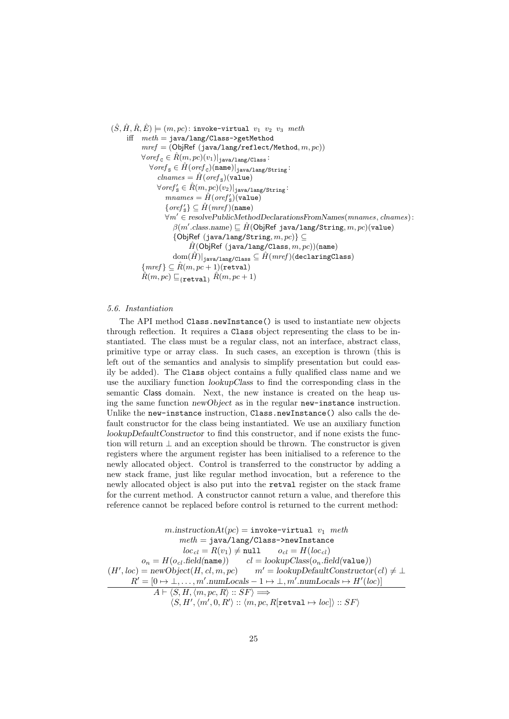$(\hat{S}, \hat{H}, \hat{R}, \hat{E}) \models (m, pc)$ : invoke-virtual  $v_1$   $v_2$   $v_3$  meth iff  $meth = java/lang/Class \rightarrow getMethod$  $mref = (ObjRef (java/lang/reflect/Method, m, pc))$  $\forall$ ore $f_{\rm c} \in \hat{R}(m, pc)(v_1)|_{\rm java/lang/Class}$ :  $\forall \textit{oref}_{\mathtt{S}}\in \hat{H}(\textit{oref}_{\mathtt{C}})(\mathtt{name})|_{\mathtt{java/lang/String}}$ :  $\mathit{channels} = \hat{\mathit{H}}(\mathit{oref}_{\mathtt{S}})(\mathtt{value})$  $\forall \textit{oref}_\mathtt{S}' \in \hat{R}(m, pc)(v_2)|_{\mathtt{java}/\mathtt{lang}/\mathtt{String}}$ :  $mnames = \hat{H}(oref'_{s})(value)$  $\{\mathit{oref}_\mathtt{S}'\} \subseteq \hat{\mathit{H}}(\mathit{mref})(\mathtt{name})$  $\forall m' \in \text{resourcePublicMethodDeclarationsFromNames}(mnames, channels):$  $\beta(m'.\text{class.name}) \sqsubseteq \hat{H}(\textsf{ObjRef java/lang/String}, m, pc)(\texttt{value})$  ${ObjRef (java/lang/String, m, pc)} \subseteq$  $\hat{H}$ (ObjRef (java/lang/Class,  $m, pc$ ))(name)  $|\text{dom}(\hat{H})|_{\text{iava/lang/Class}} \subseteq \hat{H}(merf)(\text{declaringClass})$  ${mref} \subseteq \hat{R}(m, pc + 1)$ (retval)  $\hat{R}(m, pc) \sqsubseteq_{\{\mathtt{retval}\}} \hat{R}(m, pc + 1)$ 

#### 5.6. Instantiation

The API method Class.newInstance() is used to instantiate new objects through reflection. It requires a Class object representing the class to be instantiated. The class must be a regular class, not an interface, abstract class, primitive type or array class. In such cases, an exception is thrown (this is left out of the semantics and analysis to simplify presentation but could easily be added). The Class object contains a fully qualified class name and we use the auxiliary function lookupClass to find the corresponding class in the semantic Class domain. Next, the new instance is created on the heap using the same function newObject as in the regular new-instance instruction. Unlike the new-instance instruction, Class.newInstance() also calls the default constructor for the class being instantiated. We use an auxiliary function lookupDefaultConstructor to find this constructor, and if none exists the function will return  $\perp$  and an exception should be thrown. The constructor is given registers where the argument register has been initialised to a reference to the newly allocated object. Control is transferred to the constructor by adding a new stack frame, just like regular method invocation, but a reference to the newly allocated object is also put into the retval register on the stack frame for the current method. A constructor cannot return a value, and therefore this reference cannot be replaced before control is returned to the current method:

$$
\begin{array}{c} \begin{array}{c} \begin{array}{c} \begin{array}{c} \begin{array}{c} \begin{array}{c} \begin{array}{c} \begin{array}{c} \end{array}\end{array} & \begin{array}{c} \begin{array}{c} \begin{array}{c} \end{array}\end{array} & \begin{array}{c} \end{array} & \begin{array}{c} \end{array} & \begin{array}{c} \end{array} & \begin{array}{c} \end{array} & \begin{array}{c} \end{array} & \begin{array}{c} \end{array} & \begin{array}{c} \end{array} & \begin{array}{c} \end{array} & \begin{array}{c} \end{array} & \begin{array}{c} \end{array} & \begin{array}{c} \end{array} & \begin{array}{c} \end{array} & \begin{array}{c} \end{array} & \begin{array}{c} \end{array} & \begin{array}{c} \end{array} & \begin{array}{c} \end{array} & \begin{array}{c} \end{array} & \begin{array}{c} \end{array} & \begin{array}{c} \end{array} & \begin{array}{c} \end{array} & \begin{array}{c} \end{array} & \begin{array}{c} \end{array} & \begin{array}{c} \end{array} & \begin{array}{c} \end{array} & \begin{array}{c} \end{array} & \begin{array}{c} \end{array} & \begin{array}{c} \end{array} & \begin{array}{c} \end{array} & \begin{array}{c} \end{array} & \begin{array}{c} \end{array} & \begin{array}{c} \end{array} & \begin{array}{c} \end{array} & \begin{array}{c} \end{array} & \begin{array}{c} \end{array} & \begin{array}{c} \end{array} & \begin{array}{c} \end{array} & \begin{array}{c} \end{array} & \begin{array}{c} \end{array} & \begin{array}{c} \end{array} & \begin{array}{c} \end{array} & \begin{array}{c} \end{array} & \begin{array}{c} \end{array} & \begin{array}{c} \end{array} & \begin{array}{c} \end{array} & \begin{array}{c} \end{array} & \begin{array}{c} \end{array} & \begin{array}{c} \end{array} & \begin{array}{c} \end{array} & \begin{array}{c} \end{array} & \begin{array} & \end{array} & \begin{array} & \end{array} & \begin
$$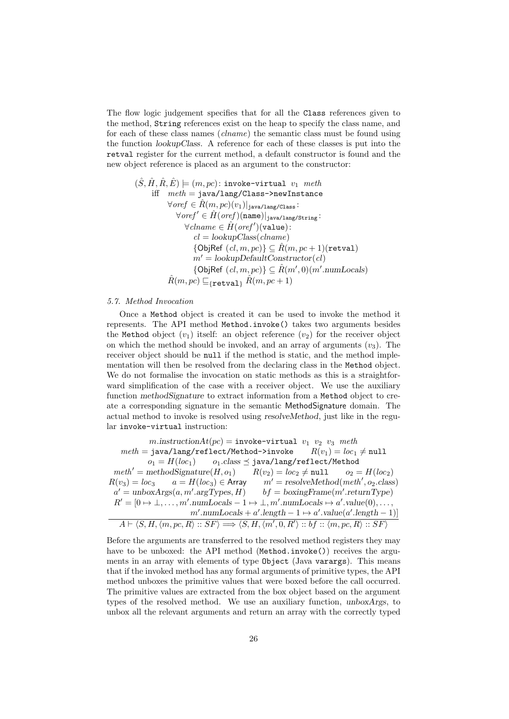The flow logic judgement specifies that for all the Class references given to the method, String references exist on the heap to specify the class name, and for each of these class names (*clname*) the semantic class must be found using the function lookupClass. A reference for each of these classes is put into the retval register for the current method, a default constructor is found and the new object reference is placed as an argument to the constructor:

$$
(\hat{S}, \hat{H}, \hat{R}, \hat{E}) \models (m, pc): \text{invoke-virtual } v_1 \text{ meth}
$$
\niff 
$$
\text{meth} = \text{java/lang/Class} \rightarrow \text{newInstance}
$$
\n
$$
\forall \text{oref } \in \hat{R}(m, pc)(v_1)|_{\text{java/lang/Class}} \colon
$$
\n
$$
\forall \text{oref'} \in \hat{H}(\text{oref})(\text{name})|_{\text{java/lang/String}} \colon
$$
\n
$$
\forall \text{chame } \in \hat{H}(\text{oref'})(\text{value}) \colon
$$
\n
$$
cl = \text{lookupClass}(\text{chame})
$$
\n
$$
\{\text{ObjRef }(cl, m, pc)\} \subseteq \hat{R}(m, pc + 1)(\text{retval})
$$
\n
$$
m' = \text{lookupDefaultConstructor}(cl)
$$
\n
$$
\{\text{ObjRef }(cl, m, pc)\} \subseteq \hat{R}(m', 0)(m'.\text{numLocals})
$$
\n
$$
\hat{R}(m, pc) \sqsubseteq_{\{\text{retval}\}} \hat{R}(m, pc + 1)
$$

#### 5.7. Method Invocation

Once a Method object is created it can be used to invoke the method it represents. The API method Method.invoke() takes two arguments besides the Method object  $(v_1)$  itself: an object reference  $(v_2)$  for the receiver object on which the method should be invoked, and an array of arguments  $(v_3)$ . The receiver object should be null if the method is static, and the method implementation will then be resolved from the declaring class in the Method object. We do not formalise the invocation on static methods as this is a straightforward simplification of the case with a receiver object. We use the auxiliary function methodSignature to extract information from a Method object to create a corresponding signature in the semantic MethodSignature domain. The actual method to invoke is resolved using resolveMethod, just like in the regular invoke-virtual instruction:

 $m.\text{instructionAt}(pc) = \text{invoke-virtual } v_1 \ v_2 \ v_3 \ \text{meth}$  $meth = java/lang/reflect/Method - \text{linvoke}$   $R(v_1) = loc_1 \neq null$  $o_1 = H(loc_1)$   $o_1.class \preceq$  java/lang/reflect/Method  $meth' = \text{methodSignature}(H, o_1)$   $R(v_2) = loc_2 \neq \texttt{null}$   $o_2 = H(loc_2)$ <br> $R(v_3) = loc_3$   $a = H(loc_3) \in \text{Array}$   $m' = \text{resourceMethod}(\text{meth}', o_2 \text{.class})$  $R(v_3) = loc_3$   $a = H(loc_3) \in$  Array  $m' = resolvedMethod(meth', o_2.class)$  $a' = \text{unboxArgs}(a, m'.\text{argTypes}, H)$  bf = boxingFrame(m'.returnType)  $R' = [0 \mapsto \bot, \ldots, m'.numLocals - 1 \mapsto \bot, m'.numLocals \mapsto a'.value(0), \ldots,$  $m'.\text{numLocals} + a'.\text{length} - 1 \mapsto a'.\text{value}(a'.\text{length} - 1)]$  $A \vdash \langle S, H, \langle m, pc, R \rangle :: SF \rangle \Longrightarrow \langle S, H, \langle m', 0, R' \rangle :: bf :: \langle m, pc, R \rangle :: SF \rangle$ 

Before the arguments are transferred to the resolved method registers they may have to be unboxed: the API method (Method.invoke()) receives the arguments in an array with elements of type Object (Java varargs). This means that if the invoked method has any formal arguments of primitive types, the API method unboxes the primitive values that were boxed before the call occurred. The primitive values are extracted from the box object based on the argument types of the resolved method. We use an auxiliary function, unboxArgs, to unbox all the relevant arguments and return an array with the correctly typed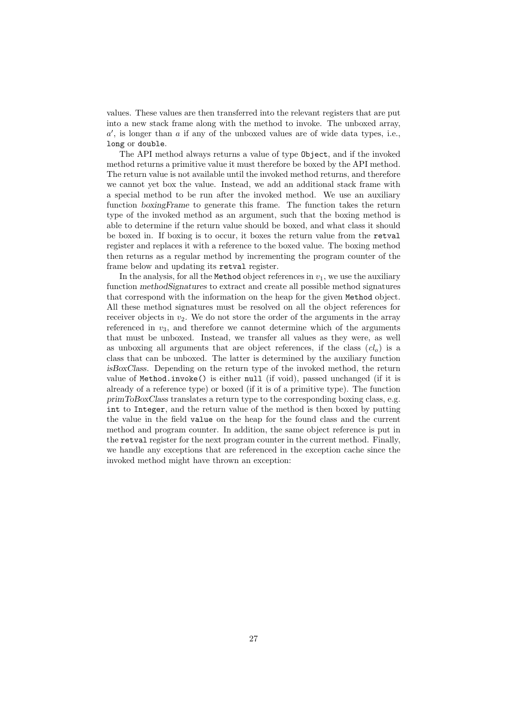values. These values are then transferred into the relevant registers that are put into a new stack frame along with the method to invoke. The unboxed array,  $a'$ , is longer than  $a$  if any of the unboxed values are of wide data types, i.e., long or double.

The API method always returns a value of type Object, and if the invoked method returns a primitive value it must therefore be boxed by the API method. The return value is not available until the invoked method returns, and therefore we cannot yet box the value. Instead, we add an additional stack frame with a special method to be run after the invoked method. We use an auxiliary function boxingFrame to generate this frame. The function takes the return type of the invoked method as an argument, such that the boxing method is able to determine if the return value should be boxed, and what class it should be boxed in. If boxing is to occur, it boxes the return value from the retval register and replaces it with a reference to the boxed value. The boxing method then returns as a regular method by incrementing the program counter of the frame below and updating its retval register.

In the analysis, for all the Method object references in  $v_1$ , we use the auxiliary function methodSignatures to extract and create all possible method signatures that correspond with the information on the heap for the given Method object. All these method signatures must be resolved on all the object references for receiver objects in  $v_2$ . We do not store the order of the arguments in the array referenced in  $v_3$ , and therefore we cannot determine which of the arguments that must be unboxed. Instead, we transfer all values as they were, as well as unboxing all arguments that are object references, if the class  $(cl<sub>o</sub>)$  is a class that can be unboxed. The latter is determined by the auxiliary function isBoxClass. Depending on the return type of the invoked method, the return value of Method.invoke() is either null (if void), passed unchanged (if it is already of a reference type) or boxed (if it is of a primitive type). The function primToBoxClass translates a return type to the corresponding boxing class, e.g. int to Integer, and the return value of the method is then boxed by putting the value in the field value on the heap for the found class and the current method and program counter. In addition, the same object reference is put in the retval register for the next program counter in the current method. Finally, we handle any exceptions that are referenced in the exception cache since the invoked method might have thrown an exception: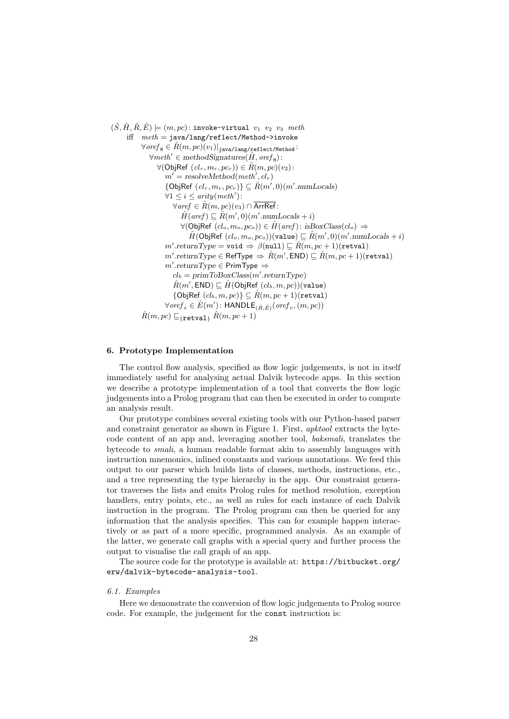$(\hat{S}, \hat{H}, \hat{R}, \hat{E}) \models (m, pc)$ : invoke-virtual  $v_1$   $v_2$   $v_3$  meth iff  $meth = java/lang/reflect/Method \rightarrow invoke$  $\forall \textit{oref}_M \in \hat{R}(m, pc)(v_1)|_{\texttt{java/lang/reflect/Method}}$ :  $\forall \text{meth}' \in \text{methods}$ ignatures $(\hat{H}, \text{oref}_{\text{M}})$ :  $\forall$ (ObjRef  $(cl_r, m_r, pc_r)) \in \hat{R}(m, pc)(v_2)$ :  $m' = resolved(meth', cl_r)$ {ObjRef  $(cl_r, m_r, pc_r)$ }  $\subseteq \hat{R}(m', 0)(m'.numLocals)$  $\forall 1 \leq i \leq arity(meth')$ :  $\forall$ aref ∈  $\hat{R}(m, pc)(v_3) \cap \overline{\text{ArrRef}}$ :  $\hat{H}(aref) \sqsubseteq \hat{R}(m',0)(m'.numLocals + i)$  $\forall$ (ObjRef  $(cl_o, m_o, pc_o)$ ) ∈  $\hat{H}(aref)$ : isBoxClass( $cl_o$ )  $\Rightarrow$  $\hat{H}(\textsf{ObjRef } (cl_o, m_o, pc_o))$ (value)  $\sqsubseteq \hat{R}(m', 0) (m'.numLocals + i)$  $m'.returnType = \verb|void |\Rightarrow \beta(\verb|null)| \sqsubseteq \hat{R}(m, pc + 1)(\verb|retval|)$  $m'.returnType \in {\sf RefType} \ \Rightarrow \ \hat{R}(m',\textsf{END}) \sqsubseteq \hat{R}(m,pc+1) {\tt (retval)}$  $m'.returnType \in \mathsf{PrimType} \Rightarrow$  $cl_b = primToBoxClass(m'.returnType)$  $\hat{R}(m',\mathsf{END}) \sqsubseteq \hat{H}(\mathsf{ObjRef}\;(cl_b,m,pc))$ (value)  ${ {\rm {[ObjRef]}~}}(cl_b, m, pc) \subseteq \hat R(m, pc + 1) {\rm (retval)}$  $\forall$ ore $f_e \in \hat{E}(m')$ :  $\mathsf{HANDLE}_{(\hat{R}, \hat{E})}($ ore $f_e, (m, pc))$  $\hat{R}(m, pc) \sqsubseteq_{\{\mathtt{retval}\}} \hat{R}(m, pc + 1)$ 

# 6. Prototype Implementation

The control flow analysis, specified as flow logic judgements, is not in itself immediately useful for analysing actual Dalvik bytecode apps. In this section we describe a prototype implementation of a tool that converts the flow logic judgements into a Prolog program that can then be executed in order to compute an analysis result.

Our prototype combines several existing tools with our Python-based parser and constraint generator as shown in Figure 1. First, apktool extracts the bytecode content of an app and, leveraging another tool, baksmali, translates the bytecode to smali, a human readable format akin to assembly languages with instruction mnemonics, inlined constants and various annotations. We feed this output to our parser which builds lists of classes, methods, instructions, etc., and a tree representing the type hierarchy in the app. Our constraint generator traverses the lists and emits Prolog rules for method resolution, exception handlers, entry points, etc., as well as rules for each instance of each Dalvik instruction in the program. The Prolog program can then be queried for any information that the analysis specifies. This can for example happen interactively or as part of a more specific, programmed analysis. As an example of the latter, we generate call graphs with a special query and further process the output to visualise the call graph of an app.

The source code for the prototype is available at: https://bitbucket.org/ erw/dalvik-bytecode-analysis-tool.

# 6.1. Examples

Here we demonstrate the conversion of flow logic judgements to Prolog source code. For example, the judgement for the const instruction is: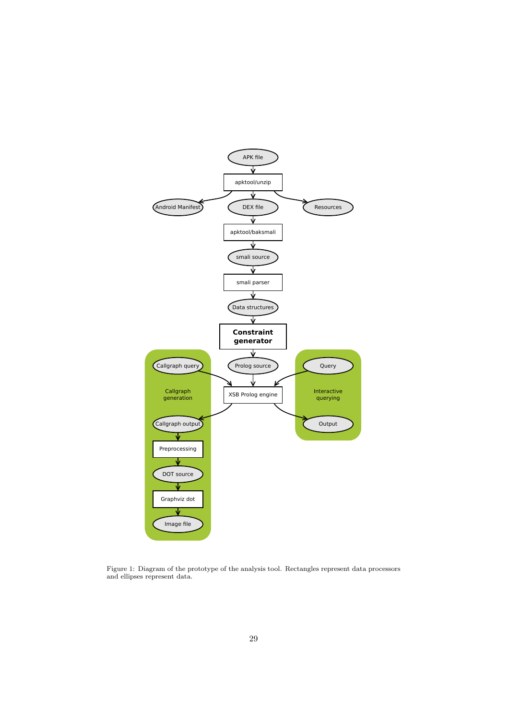

Figure 1: Diagram of the prototype of the analysis tool. Rectangles represent data processors and ellipses represent data.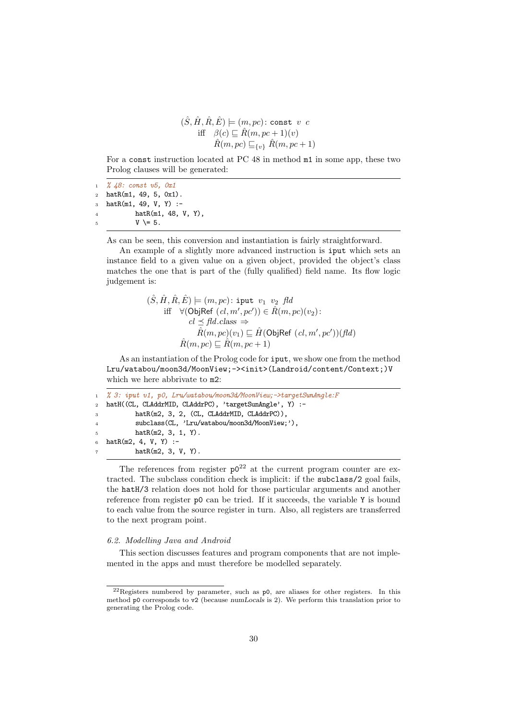$$
(\hat{S}, \hat{H}, \hat{R}, \hat{E}) \models (m, pc) : \text{const } v \ c
$$
  
iff 
$$
\beta(c) \sqsubseteq \hat{R}(m, pc + 1)(v)
$$
  

$$
\hat{R}(m, pc) \sqsubseteq_{\{v\}} \hat{R}(m, pc + 1)
$$

For a const instruction located at PC 48 in method m1 in some app, these two Prolog clauses will be generated:

```
1 % 48: const v5, 0x1
2 \text{ hatR(m1, 49, 5, 0x1)}.
3 hatR(m1, 49, V, Y) :-
4 hatR(m1, 48, V, Y),
V = 5.
```
As can be seen, this conversion and instantiation is fairly straightforward.

An example of a slightly more advanced instruction is iput which sets an instance field to a given value on a given object, provided the object's class matches the one that is part of the (fully qualified) field name. Its flow logic judgement is:

```
(\hat{S}, \hat{H}, \hat{R}, \hat{E}) \models (m, pc): iput v_1 v_2 fld
        iff ∀(ObjRef (cl, m', pc') ) \in \hat{R}(m, pc)(v_2):
                   cl \preceq \text{fd.class} \Rightarrow\hat{R}(m,pc)(v_1) \sqsubseteq \hat{H}(\mathsf{ObjRef}\;(cl,m',pc'))(fd)\hat{R}(m, pc) \sqsubseteq \hat{R}(m, pc + 1)
```
As an instantiation of the Prolog code for iput, we show one from the method Lru/watabou/moon3d/MoonView;-><init>(Landroid/content/Context;)V which we here abbrivate to m2:

```
1 % 3: iput v1, p0, Lru/watabou/moon3d/MoonView;->targetSunAngle:F
2 hatH((CL, CLAddrMID, CLAddrPC), 'targetSunAngle', Y) :-
3 hatR(m2, 3, 2, (CL, CLAddrMID, CLAddrPC)),
4 subclass(CL, 'Lru/watabou/moon3d/MoonView;'),
5 hatR(m2, 3, 1, Y).
6 hatR(m2, 4, V, Y) :-
7 hatR(m2, 3, V, Y).
```
The references from register  $p0^{22}$  at the current program counter are extracted. The subclass condition check is implicit: if the subclass/2 goal fails, the hatH/3 relation does not hold for those particular arguments and another reference from register p0 can be tried. If it succeeds, the variable Y is bound to each value from the source register in turn. Also, all registers are transferred to the next program point.

# 6.2. Modelling Java and Android

This section discusses features and program components that are not implemented in the apps and must therefore be modelled separately.

<sup>22</sup>Registers numbered by parameter, such as p0, are aliases for other registers. In this method p0 corresponds to v2 (because numLocals is 2). We perform this translation prior to generating the Prolog code.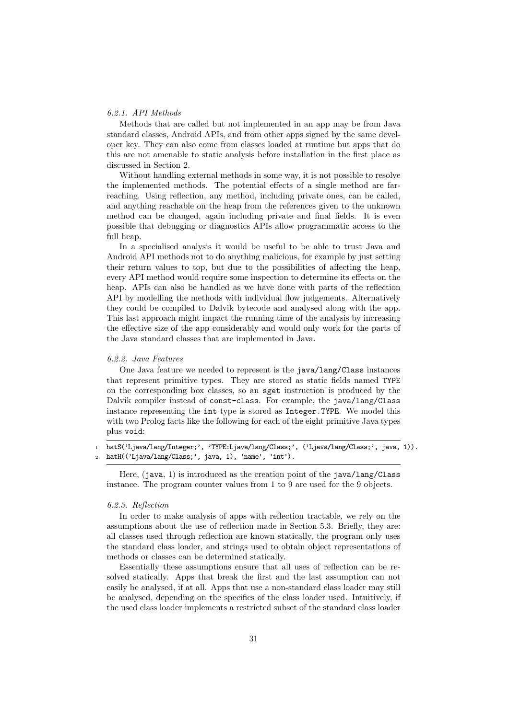#### 6.2.1. API Methods

Methods that are called but not implemented in an app may be from Java standard classes, Android APIs, and from other apps signed by the same developer key. They can also come from classes loaded at runtime but apps that do this are not amenable to static analysis before installation in the first place as discussed in Section 2.

Without handling external methods in some way, it is not possible to resolve the implemented methods. The potential effects of a single method are farreaching. Using reflection, any method, including private ones, can be called, and anything reachable on the heap from the references given to the unknown method can be changed, again including private and final fields. It is even possible that debugging or diagnostics APIs allow programmatic access to the full heap.

In a specialised analysis it would be useful to be able to trust Java and Android API methods not to do anything malicious, for example by just setting their return values to top, but due to the possibilities of affecting the heap, every API method would require some inspection to determine its effects on the heap. APIs can also be handled as we have done with parts of the reflection API by modelling the methods with individual flow judgements. Alternatively they could be compiled to Dalvik bytecode and analysed along with the app. This last approach might impact the running time of the analysis by increasing the effective size of the app considerably and would only work for the parts of the Java standard classes that are implemented in Java.

### 6.2.2. Java Features

One Java feature we needed to represent is the java/lang/Class instances that represent primitive types. They are stored as static fields named TYPE on the corresponding box classes, so an sget instruction is produced by the Dalvik compiler instead of const-class. For example, the java/lang/Class instance representing the int type is stored as Integer.TYPE. We model this with two Prolog facts like the following for each of the eight primitive Java types plus void:

1 hatS('Ljava/lang/Integer;', 'TYPE:Ljava/lang/Class;', ('Ljava/lang/Class;', java, 1)). <sup>2</sup> hatH(('Ljava/lang/Class;', java, 1), 'name', 'int').

Here, (java, 1) is introduced as the creation point of the  $java/lang/Class$ instance. The program counter values from 1 to 9 are used for the 9 objects.

#### 6.2.3. Reflection

In order to make analysis of apps with reflection tractable, we rely on the assumptions about the use of reflection made in Section 5.3. Briefly, they are: all classes used through reflection are known statically, the program only uses the standard class loader, and strings used to obtain object representations of methods or classes can be determined statically.

Essentially these assumptions ensure that all uses of reflection can be resolved statically. Apps that break the first and the last assumption can not easily be analysed, if at all. Apps that use a non-standard class loader may still be analysed, depending on the specifics of the class loader used. Intuitively, if the used class loader implements a restricted subset of the standard class loader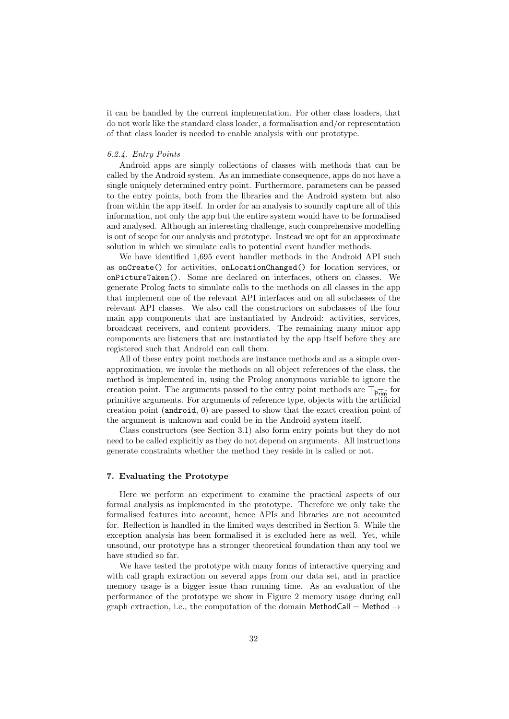it can be handled by the current implementation. For other class loaders, that do not work like the standard class loader, a formalisation and/or representation of that class loader is needed to enable analysis with our prototype.

#### 6.2.4. Entry Points

Android apps are simply collections of classes with methods that can be called by the Android system. As an immediate consequence, apps do not have a single uniquely determined entry point. Furthermore, parameters can be passed to the entry points, both from the libraries and the Android system but also from within the app itself. In order for an analysis to soundly capture all of this information, not only the app but the entire system would have to be formalised and analysed. Although an interesting challenge, such comprehensive modelling is out of scope for our analysis and prototype. Instead we opt for an approximate solution in which we simulate calls to potential event handler methods.

We have identified 1,695 event handler methods in the Android API such as onCreate() for activities, onLocationChanged() for location services, or onPictureTaken(). Some are declared on interfaces, others on classes. We generate Prolog facts to simulate calls to the methods on all classes in the app that implement one of the relevant API interfaces and on all subclasses of the relevant API classes. We also call the constructors on subclasses of the four main app components that are instantiated by Android: activities, services, broadcast receivers, and content providers. The remaining many minor app components are listeners that are instantiated by the app itself before they are registered such that Android can call them.

All of these entry point methods are instance methods and as a simple overapproximation, we invoke the methods on all object references of the class, the method is implemented in, using the Prolog anonymous variable to ignore the creation point. The arguments passed to the entry point methods are  $\top_{\widehat{\text{Prim}}}$  for primitive arguments. For arguments of reference type, objects with the artificial creation point (android, 0) are passed to show that the exact creation point of the argument is unknown and could be in the Android system itself.

Class constructors (see Section 3.1) also form entry points but they do not need to be called explicitly as they do not depend on arguments. All instructions generate constraints whether the method they reside in is called or not.

# 7. Evaluating the Prototype

Here we perform an experiment to examine the practical aspects of our formal analysis as implemented in the prototype. Therefore we only take the formalised features into account, hence APIs and libraries are not accounted for. Reflection is handled in the limited ways described in Section 5. While the exception analysis has been formalised it is excluded here as well. Yet, while unsound, our prototype has a stronger theoretical foundation than any tool we have studied so far.

We have tested the prototype with many forms of interactive querying and with call graph extraction on several apps from our data set, and in practice memory usage is a bigger issue than running time. As an evaluation of the performance of the prototype we show in Figure 2 memory usage during call graph extraction, i.e., the computation of the domain MethodCall = Method  $\rightarrow$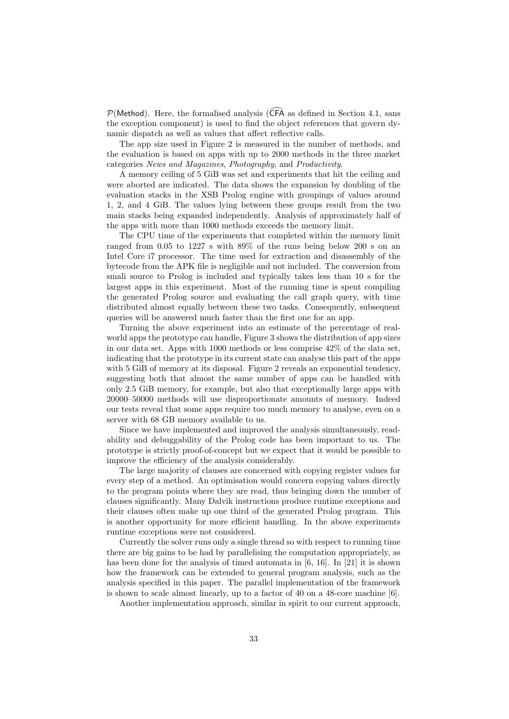$P(Method)$ . Here, the formalised analysis ( $\widehat{CFA}$  as defined in Section 4.1, sans the exception component) is used to find the object references that govern dynamic dispatch as well as values that affect reflective calls.

The app size used in Figure 2 is measured in the number of methods, and the evaluation is based on apps with up to 2000 methods in the three market categories News and Magazines, Photography, and Productivity.

A memory ceiling of 5 GiB was set and experiments that hit the ceiling and were aborted are indicated. The data shows the expansion by doubling of the evaluation stacks in the XSB Prolog engine with groupings of values around 1, 2, and 4 GiB. The values lying between these groups result from the two main stacks being expanded independently. Analysis of approximately half of the apps with more than 1000 methods exceeds the memory limit.

The CPU time of the experiments that completed within the memory limit ranged from 0.05 to 1227 s with 89% of the runs being below 200 s on an Intel Core i7 processor. The time used for extraction and disassembly of the bytecode from the APK file is negligible and not included. The conversion from smali source to Prolog is included and typically takes less than 10 s for the largest apps in this experiment. Most of the running time is spent compiling the generated Prolog source and evaluating the call graph query, with time distributed almost equally between these two tasks. Consequently, subsequent queries will be answered much faster than the first one for an app.

Turning the above experiment into an estimate of the percentage of realworld apps the prototype can handle, Figure 3 shows the distribution of app sizes in our data set. Apps with 1000 methods or less comprise 42% of the data set, indicating that the prototype in its current state can analyse this part of the apps with 5 GiB of memory at its disposal. Figure 2 reveals an exponential tendency, suggesting both that almost the same number of apps can be handled with only 2.5 GiB memory, for example, but also that exceptionally large apps with 20000–50000 methods will use disproportionate amounts of memory. Indeed our tests reveal that some apps require too much memory to analyse, even on a server with 68 GB memory available to us.

Since we have implemented and improved the analysis simultaneously, readability and debuggability of the Prolog code has been important to us. The prototype is strictly proof-of-concept but we expect that it would be possible to improve the efficiency of the analysis considerably.

The large majority of clauses are concerned with copying register values for every step of a method. An optimisation would concern copying values directly to the program points where they are read, thus bringing down the number of clauses significantly. Many Dalvik instructions produce runtime exceptions and their clauses often make up one third of the generated Prolog program. This is another opportunity for more efficient handling. In the above experiments runtime exceptions were not considered.

Currently the solver runs only a single thread so with respect to running time there are big gains to be had by parallelising the computation appropriately, as has been done for the analysis of timed automata in [6, 16]. In [21] it is shown how the framework can be extended to general program analysis, such as the analysis specified in this paper. The parallel implementation of the framework is shown to scale almost linearly, up to a factor of 40 on a 48-core machine [6].

Another implementation approach, similar in spirit to our current approach,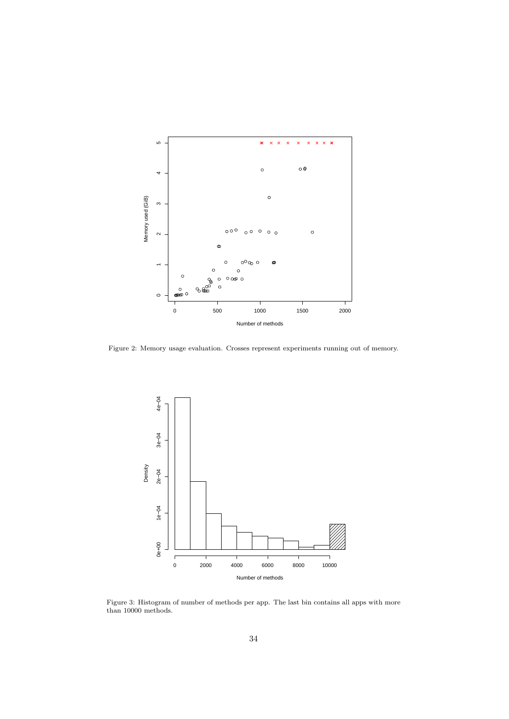

Figure 2: Memory usage evaluation. Crosses represent experiments running out of memory.



Figure 3: Histogram of number of methods per app. The last bin contains all apps with more than 10000 methods.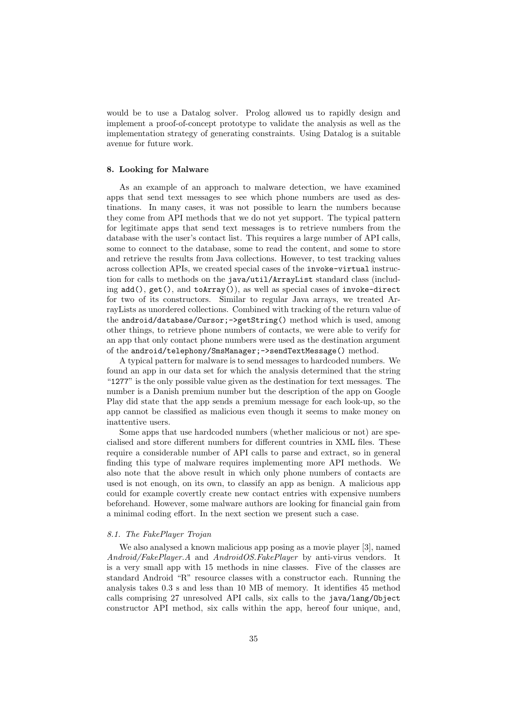would be to use a Datalog solver. Prolog allowed us to rapidly design and implement a proof-of-concept prototype to validate the analysis as well as the implementation strategy of generating constraints. Using Datalog is a suitable avenue for future work.

#### 8. Looking for Malware

As an example of an approach to malware detection, we have examined apps that send text messages to see which phone numbers are used as destinations. In many cases, it was not possible to learn the numbers because they come from API methods that we do not yet support. The typical pattern for legitimate apps that send text messages is to retrieve numbers from the database with the user's contact list. This requires a large number of API calls, some to connect to the database, some to read the content, and some to store and retrieve the results from Java collections. However, to test tracking values across collection APIs, we created special cases of the invoke-virtual instruction for calls to methods on the java/util/ArrayList standard class (including  $add()$ ,  $get()$ , and  $toArray()$ , as well as special cases of invoke-direct for two of its constructors. Similar to regular Java arrays, we treated ArrayLists as unordered collections. Combined with tracking of the return value of the android/database/Cursor;->getString() method which is used, among other things, to retrieve phone numbers of contacts, we were able to verify for an app that only contact phone numbers were used as the destination argument of the android/telephony/SmsManager;->sendTextMessage() method.

A typical pattern for malware is to send messages to hardcoded numbers. We found an app in our data set for which the analysis determined that the string "1277" is the only possible value given as the destination for text messages. The number is a Danish premium number but the description of the app on Google Play did state that the app sends a premium message for each look-up, so the app cannot be classified as malicious even though it seems to make money on inattentive users.

Some apps that use hardcoded numbers (whether malicious or not) are specialised and store different numbers for different countries in XML files. These require a considerable number of API calls to parse and extract, so in general finding this type of malware requires implementing more API methods. We also note that the above result in which only phone numbers of contacts are used is not enough, on its own, to classify an app as benign. A malicious app could for example covertly create new contact entries with expensive numbers beforehand. However, some malware authors are looking for financial gain from a minimal coding effort. In the next section we present such a case.

# 8.1. The FakePlayer Trojan

We also analysed a known malicious app posing as a movie player [3], named Android/FakePlayer.A and AndroidOS.FakePlayer by anti-virus vendors. It is a very small app with 15 methods in nine classes. Five of the classes are standard Android "R" resource classes with a constructor each. Running the analysis takes 0.3 s and less than 10 MB of memory. It identifies 45 method calls comprising 27 unresolved API calls, six calls to the java/lang/Object constructor API method, six calls within the app, hereof four unique, and,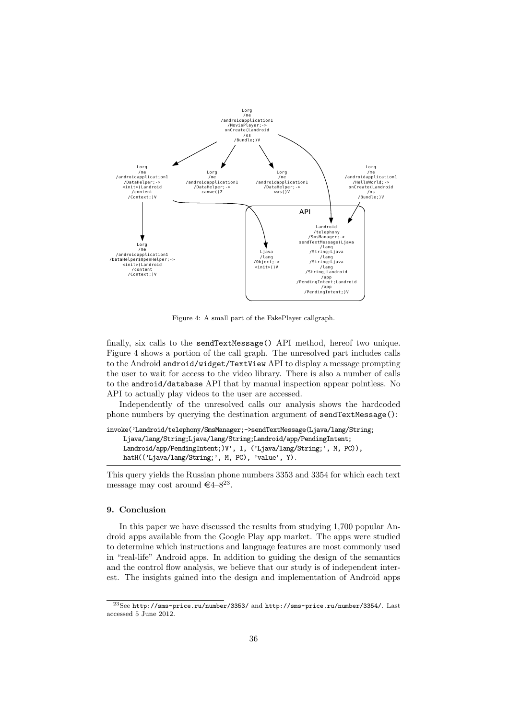

Figure 4: A small part of the FakePlayer callgraph.

finally, six calls to the sendTextMessage() API method, hereof two unique. Figure 4 shows a portion of the call graph. The unresolved part includes calls to the Android android/widget/TextView API to display a message prompting the user to wait for access to the video library. There is also a number of calls to the android/database API that by manual inspection appear pointless. No API to actually play videos to the user are accessed.

Independently of the unresolved calls our analysis shows the hardcoded phone numbers by querying the destination argument of sendTextMessage():

invoke('Landroid/telephony/SmsManager;->sendTextMessage(Ljava/lang/String; Ljava/lang/String;Ljava/lang/String;Landroid/app/PendingIntent; Landroid/app/PendingIntent;)V', 1, ('Ljava/lang/String;', M, PC)), hatH(('Ljava/lang/String;', M, PC), 'value', Y).

This query yields the Russian phone numbers 3353 and 3354 for which each text message may cost around  $\epsilon$ 4–8<sup>23</sup>.

# 9. Conclusion

In this paper we have discussed the results from studying 1,700 popular Android apps available from the Google Play app market. The apps were studied to determine which instructions and language features are most commonly used in "real-life" Android apps. In addition to guiding the design of the semantics and the control flow analysis, we believe that our study is of independent interest. The insights gained into the design and implementation of Android apps

 $\overline{^{23}$ See http://sms-price.ru/number/3353/ and http://sms-price.ru/number/3354/. Last accessed 5 June 2012.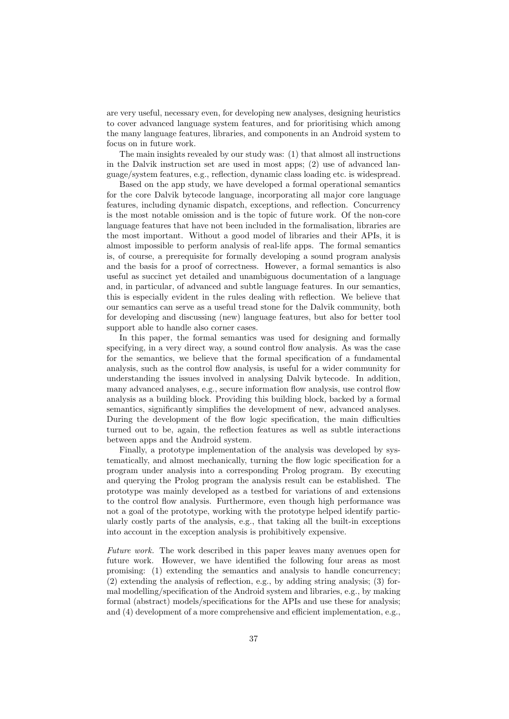are very useful, necessary even, for developing new analyses, designing heuristics to cover advanced language system features, and for prioritising which among the many language features, libraries, and components in an Android system to focus on in future work.

The main insights revealed by our study was: (1) that almost all instructions in the Dalvik instruction set are used in most apps; (2) use of advanced language/system features, e.g., reflection, dynamic class loading etc. is widespread.

Based on the app study, we have developed a formal operational semantics for the core Dalvik bytecode language, incorporating all major core language features, including dynamic dispatch, exceptions, and reflection. Concurrency is the most notable omission and is the topic of future work. Of the non-core language features that have not been included in the formalisation, libraries are the most important. Without a good model of libraries and their APIs, it is almost impossible to perform analysis of real-life apps. The formal semantics is, of course, a prerequisite for formally developing a sound program analysis and the basis for a proof of correctness. However, a formal semantics is also useful as succinct yet detailed and unambiguous documentation of a language and, in particular, of advanced and subtle language features. In our semantics, this is especially evident in the rules dealing with reflection. We believe that our semantics can serve as a useful tread stone for the Dalvik community, both for developing and discussing (new) language features, but also for better tool support able to handle also corner cases.

In this paper, the formal semantics was used for designing and formally specifying, in a very direct way, a sound control flow analysis. As was the case for the semantics, we believe that the formal specification of a fundamental analysis, such as the control flow analysis, is useful for a wider community for understanding the issues involved in analysing Dalvik bytecode. In addition, many advanced analyses, e.g., secure information flow analysis, use control flow analysis as a building block. Providing this building block, backed by a formal semantics, significantly simplifies the development of new, advanced analyses. During the development of the flow logic specification, the main difficulties turned out to be, again, the reflection features as well as subtle interactions between apps and the Android system.

Finally, a prototype implementation of the analysis was developed by systematically, and almost mechanically, turning the flow logic specification for a program under analysis into a corresponding Prolog program. By executing and querying the Prolog program the analysis result can be established. The prototype was mainly developed as a testbed for variations of and extensions to the control flow analysis. Furthermore, even though high performance was not a goal of the prototype, working with the prototype helped identify particularly costly parts of the analysis, e.g., that taking all the built-in exceptions into account in the exception analysis is prohibitively expensive.

Future work. The work described in this paper leaves many avenues open for future work. However, we have identified the following four areas as most promising: (1) extending the semantics and analysis to handle concurrency; (2) extending the analysis of reflection, e.g., by adding string analysis; (3) formal modelling/specification of the Android system and libraries, e.g., by making formal (abstract) models/specifications for the APIs and use these for analysis; and (4) development of a more comprehensive and efficient implementation, e.g.,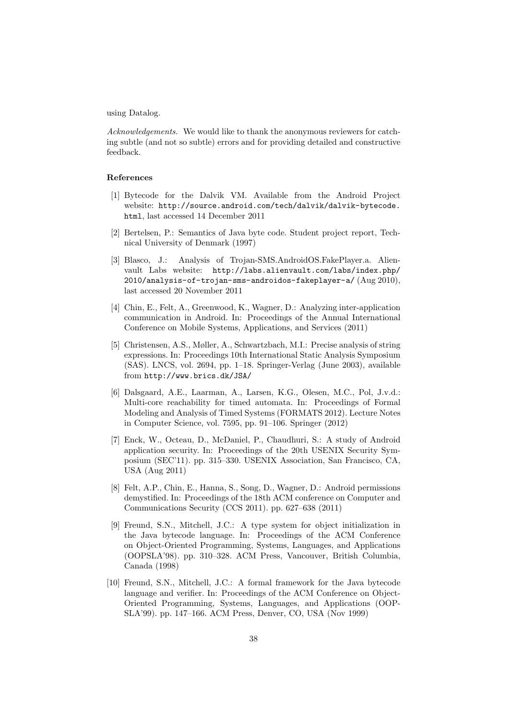using Datalog.

Acknowledgements. We would like to thank the anonymous reviewers for catching subtle (and not so subtle) errors and for providing detailed and constructive feedback.

# References

- [1] Bytecode for the Dalvik VM. Available from the Android Project website: http://source.android.com/tech/dalvik/dalvik-bytecode. html, last accessed 14 December 2011
- [2] Bertelsen, P.: Semantics of Java byte code. Student project report, Technical University of Denmark (1997)
- [3] Blasco, J.: Analysis of Trojan-SMS.AndroidOS.FakePlayer.a. Alienvault Labs website: http://labs.alienvault.com/labs/index.php/ 2010/analysis-of-trojan-sms-androidos-fakeplayer-a/ (Aug 2010), last accessed 20 November 2011
- [4] Chin, E., Felt, A., Greenwood, K., Wagner, D.: Analyzing inter-application communication in Android. In: Proceedings of the Annual International Conference on Mobile Systems, Applications, and Services (2011)
- [5] Christensen, A.S., Møller, A., Schwartzbach, M.I.: Precise analysis of string expressions. In: Proceedings 10th International Static Analysis Symposium (SAS). LNCS, vol. 2694, pp. 1–18. Springer-Verlag (June 2003), available from http://www.brics.dk/JSA/
- [6] Dalsgaard, A.E., Laarman, A., Larsen, K.G., Olesen, M.C., Pol, J.v.d.: Multi-core reachability for timed automata. In: Proceedings of Formal Modeling and Analysis of Timed Systems (FORMATS 2012). Lecture Notes in Computer Science, vol. 7595, pp. 91–106. Springer (2012)
- [7] Enck, W., Octeau, D., McDaniel, P., Chaudhuri, S.: A study of Android application security. In: Proceedings of the 20th USENIX Security Symposium (SEC'11). pp. 315–330. USENIX Association, San Francisco, CA, USA (Aug 2011)
- [8] Felt, A.P., Chin, E., Hanna, S., Song, D., Wagner, D.: Android permissions demystified. In: Proceedings of the 18th ACM conference on Computer and Communications Security (CCS 2011). pp. 627–638 (2011)
- [9] Freund, S.N., Mitchell, J.C.: A type system for object initialization in the Java bytecode language. In: Proceedings of the ACM Conference on Object-Oriented Programming, Systems, Languages, and Applications (OOPSLA'98). pp. 310–328. ACM Press, Vancouver, British Columbia, Canada (1998)
- [10] Freund, S.N., Mitchell, J.C.: A formal framework for the Java bytecode language and verifier. In: Proceedings of the ACM Conference on Object-Oriented Programming, Systems, Languages, and Applications (OOP-SLA'99). pp. 147–166. ACM Press, Denver, CO, USA (Nov 1999)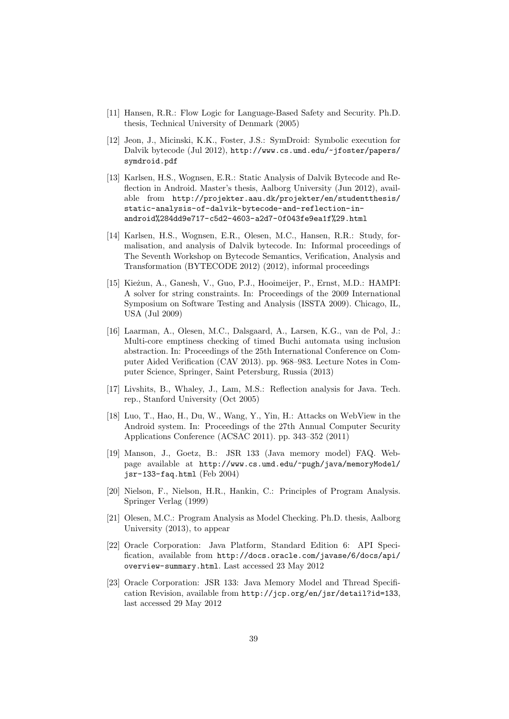- [11] Hansen, R.R.: Flow Logic for Language-Based Safety and Security. Ph.D. thesis, Technical University of Denmark (2005)
- [12] Jeon, J., Micinski, K.K., Foster, J.S.: SymDroid: Symbolic execution for Dalvik bytecode (Jul 2012), http://www.cs.umd.edu/~jfoster/papers/ symdroid.pdf
- [13] Karlsen, H.S., Wognsen, E.R.: Static Analysis of Dalvik Bytecode and Reflection in Android. Master's thesis, Aalborg University (Jun 2012), available from http://projekter.aau.dk/projekter/en/studentthesis/ static-analysis-of-dalvik-bytecode-and-reflection-inandroid%284dd9e717-c5d2-4603-a2d7-0f043fe9ea1f%29.html
- [14] Karlsen, H.S., Wognsen, E.R., Olesen, M.C., Hansen, R.R.: Study, formalisation, and analysis of Dalvik bytecode. In: Informal proceedings of The Seventh Workshop on Bytecode Semantics, Verification, Analysis and Transformation (BYTECODE 2012) (2012), informal proceedings
- [15] Kieżun, A., Ganesh, V., Guo, P.J., Hooimeijer, P., Ernst, M.D.: HAMPI: A solver for string constraints. In: Proceedings of the 2009 International Symposium on Software Testing and Analysis (ISSTA 2009). Chicago, IL, USA (Jul 2009)
- [16] Laarman, A., Olesen, M.C., Dalsgaard, A., Larsen, K.G., van de Pol, J.: Multi-core emptiness checking of timed Buchi automata using inclusion abstraction. In: Proceedings of the 25th International Conference on Computer Aided Verification (CAV 2013). pp. 968–983. Lecture Notes in Computer Science, Springer, Saint Petersburg, Russia (2013)
- [17] Livshits, B., Whaley, J., Lam, M.S.: Reflection analysis for Java. Tech. rep., Stanford University (Oct 2005)
- [18] Luo, T., Hao, H., Du, W., Wang, Y., Yin, H.: Attacks on WebView in the Android system. In: Proceedings of the 27th Annual Computer Security Applications Conference (ACSAC 2011). pp. 343–352 (2011)
- [19] Manson, J., Goetz, B.: JSR 133 (Java memory model) FAQ. Webpage available at http://www.cs.umd.edu/~pugh/java/memoryModel/ jsr-133-faq.html (Feb 2004)
- [20] Nielson, F., Nielson, H.R., Hankin, C.: Principles of Program Analysis. Springer Verlag (1999)
- [21] Olesen, M.C.: Program Analysis as Model Checking. Ph.D. thesis, Aalborg University (2013), to appear
- [22] Oracle Corporation: Java Platform, Standard Edition 6: API Specification, available from http://docs.oracle.com/javase/6/docs/api/ overview-summary.html. Last accessed 23 May 2012
- [23] Oracle Corporation: JSR 133: Java Memory Model and Thread Specification Revision, available from http://jcp.org/en/jsr/detail?id=133, last accessed 29 May 2012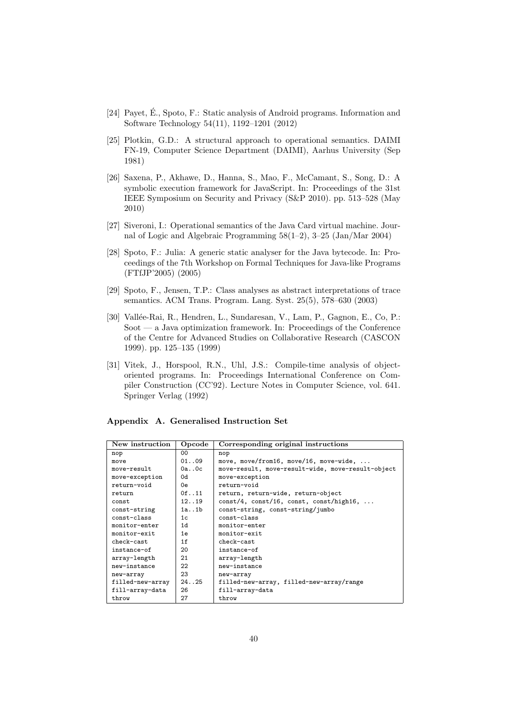- [24] Payet, É., Spoto, F.: Static analysis of Android programs. Information and Software Technology 54(11), 1192–1201 (2012)
- [25] Plotkin, G.D.: A structural approach to operational semantics. DAIMI FN-19, Computer Science Department (DAIMI), Aarhus University (Sep 1981)
- [26] Saxena, P., Akhawe, D., Hanna, S., Mao, F., McCamant, S., Song, D.: A symbolic execution framework for JavaScript. In: Proceedings of the 31st IEEE Symposium on Security and Privacy (S&P 2010). pp. 513–528 (May 2010)
- [27] Siveroni, I.: Operational semantics of the Java Card virtual machine. Journal of Logic and Algebraic Programming 58(1–2), 3–25 (Jan/Mar 2004)
- [28] Spoto, F.: Julia: A generic static analyser for the Java bytecode. In: Proceedings of the 7th Workshop on Formal Techniques for Java-like Programs (FTfJP'2005) (2005)
- [29] Spoto, F., Jensen, T.P.: Class analyses as abstract interpretations of trace semantics. ACM Trans. Program. Lang. Syst. 25(5), 578–630 (2003)
- [30] Vallée-Rai, R., Hendren, L., Sundaresan, V., Lam, P., Gagnon, E., Co, P.: Soot — a Java optimization framework. In: Proceedings of the Conference of the Centre for Advanced Studies on Collaborative Research (CASCON 1999). pp. 125–135 (1999)
- [31] Vitek, J., Horspool, R.N., Uhl, J.S.: Compile-time analysis of objectoriented programs. In: Proceedings International Conference on Compiler Construction (CC'92). Lecture Notes in Computer Science, vol. 641. Springer Verlag (1992)

| New instruction  | Opcode  | Corresponding original instructions                 |
|------------------|---------|-----------------------------------------------------|
| nop              | 00      | nop                                                 |
| move             | 01.09   | move, move/from16, move/16, move-wide,              |
| move-result      | 0a.0c   | move-result, move-result-wide, move-result-object   |
| move-exception   | 0d      | move-exception                                      |
| return-void      | 0e.     | return-void                                         |
| return           | 0f. .11 | return, return-wide, return-object                  |
| const            | 12.019  | $const/4$ , $const/16$ , $const$ , $const/high16$ , |
| const-string     | 1a. .1b | const-string, const-string/jumbo                    |
| $const$ -class   | 1c      | $const$ -class                                      |
| monitor-enter    | 1 d     | monitor-enter                                       |
| monitor-exit     | 1e      | monitor-exit                                        |
| check-cast       | 1f      | check-cast                                          |
| instance-of      | 20      | instance-of                                         |
| array-length     | 21      | array-length                                        |
| new-instance     | 22      | new-instance                                        |
| new-array        | 23      | new-array                                           |
| filled-new-array | 24.025  | filled-new-array, filled-new-array/range            |
| fill-array-data  | 26      | fill-array-data                                     |
| throw            | 27      | throw                                               |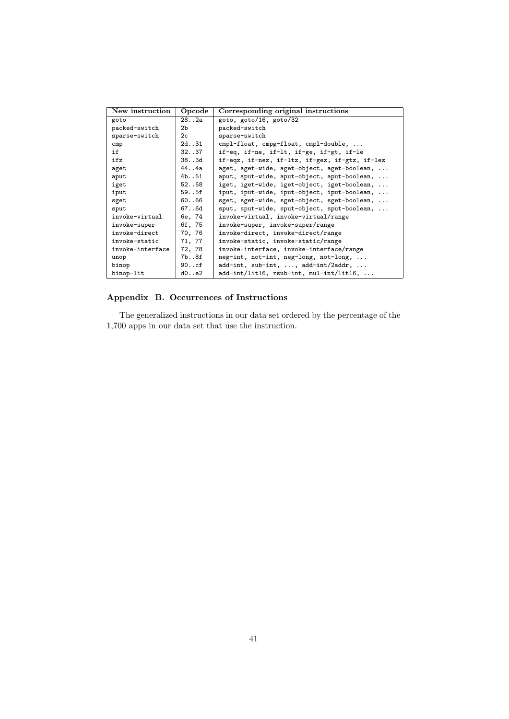| New instruction  | Opcode         | Corresponding original instructions            |
|------------------|----------------|------------------------------------------------|
| goto             | 282a           | goto, goto/16, goto/32                         |
| packed-switch    | 2 <sub>b</sub> | packed-switch                                  |
| sparse-switch    | 2c             | sparse-switch                                  |
| cmp              | 2d. .31        | cmpl-float, cmpg-float, cmpl-double,           |
| if               | 32.037         | if-eq, if-ne, if-lt, if-ge, if-gt, if-le       |
| ifz              | 38.03d         | if-eqz, if-nez, if-ltz, if-gez, if-gtz, if-lez |
| aget             | 444a           | aget, aget-wide, aget-object, aget-boolean,    |
| aput             | 4b. .51        | aput, aput-wide, aput-object, aput-boolean,    |
| iget             | 52.058         | iget, iget-wide, iget-object, iget-boolean,    |
| iput             | 59.05f         | iput, iput-wide, iput-object, iput-boolean,    |
| sget             | 60.066         | sget, sget-wide, sget-object, sget-boolean,    |
| sput             | 67.06d         | sput, sput-wide, sput-object, sput-boolean,    |
| invoke-virtual   | 6e, 74         | invoke-virtual, invoke-virtual/range           |
| invoke-super     | 6f, 75         | invoke-super, invoke-super/range               |
| invoke-direct    | 70, 76         | invoke-direct, invoke-direct/range             |
| invoke-static    | 71, 77         | invoke-static, invoke-static/range             |
| invoke-interface | 72, 78         | invoke-interface, invoke-interface/range       |
| unop             | 7b8f           | neg-int, not-int, neg-long, not-long,          |
| binop            | 90. . cf       | $add-int, sub-int, , add-int/2addr, $          |
| binop-lit        | d0. . e2       | add-int/lit16, rsub-int, mul-int/lit16,        |

# Appendix B. Occurrences of Instructions

The generalized instructions in our data set ordered by the percentage of the 1,700 apps in our data set that use the instruction.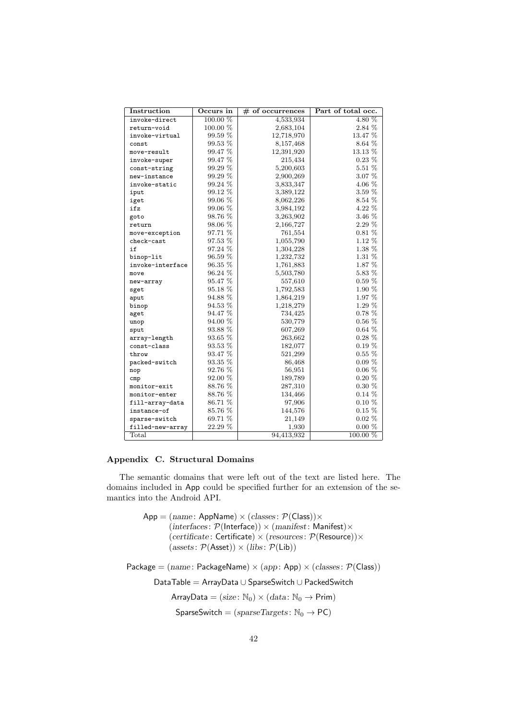| Instruction      | Occurs in  | $#$ of occurrences | Part of total occ. |
|------------------|------------|--------------------|--------------------|
| invoke-direct    | 100.00 %   | 4,533,934          | 4.80 %             |
| return-void      | 100.00 %   | 2,683,104          | 2.84 %             |
| invoke-virtual   | 99.59 %    | 12,718,970         | 13.47 %            |
| const            | 99.53 %    | 8,157,468          | 8.64 %             |
| move-result      | $99.47~\%$ | 12,391,920         | 13.13 %            |
| invoke-super     | 99.47 %    | 215,434            | $0.23~\%$          |
| const-string     | 99.29 %    | 5,200,603          | 5.51 %             |
| new-instance     | 99.29 %    | 2,900,269          | 3.07 %             |
| invoke-static    | 99.24 %    | 3,833,347          | 4.06 %             |
| iput             | 99.12 %    | 3,389,122          | 3.59 %             |
| iget             | 99.06 %    | 8,062,226          | 8.54 %             |
| ifz              | 99.06 %    | 3,984,192          | $4.22~\%$          |
| goto             | 98.76 %    | 3,263,902          | 3.46 %             |
| return           | 98.06 %    | 2,166,727          | 2.29 %             |
| move-exception   | 97.71 %    | 761,554            | $0.81\%$           |
| check-cast       | 97.53 %    | 1,055,790          | 1.12 %             |
| if               | 97.24 %    | 1,304,228          | 1.38 %             |
| binop-lit        | $96.59~\%$ | 1,232,732          | 1.31 %             |
| invoke-interface | 96.35 %    | 1,761,883          | 1.87 %             |
| move             | 96.24 %    | 5,503,780          | $5.83~\%$          |
| new-array        | 95.47 %    | 557,610            | $0.59\%$           |
| sget             | 95.18 %    | 1,792,583          | 1.90 %             |
| aput             | 94.88 %    | 1,864,219          | $1.97~\%$          |
| binop            | 94.53 %    | 1,218,279          | 1.29 %             |
| aget             | 94.47 %    | 734,425            | $0.78\%$           |
| unop             | 94.00 %    | 530,779            | $0.56~\%$          |
| sput             | 93.88 %    | 607,269            | $0.64\%$           |
| array-length     | 93.65 %    | 263,662            | $0.28\%$           |
| const-class      | 93.53 %    | 182,077            | $0.19\%$           |
| throw            | 93.47 %    | 521,299            | $0.55\%$           |
| packed-switch    | 93.35 %    | 86,468             | $0.09\%$           |
| nop              | 92.76 %    | 56,951             | $0.06\%$           |
| cmp              | 92.00 %    | 189,789            | $0.20\%$           |
| monitor-exit     | 88.76 %    | 287,310            | $0.30~\%$          |
| monitor-enter    | 88.76 %    | 134,466            | $0.14\%$           |
| fill-array-data  | 86.71 %    | 97,906             | $0.10\%$           |
| instance-of      | 85.76 %    | 144,576            | $0.15\%$           |
| sparse-switch    | 69.71 %    | 21,149             | $0.02\%$           |
| filled-new-array | 22.29 %    | 1,930              | $0.00 \%$          |
| Total            |            | 94,413,932         | 100.00 %           |

# Appendix C. Structural Domains

The semantic domains that were left out of the text are listed here. The domains included in App could be specified further for an extension of the semantics into the Android API.

> $App = (name: AppName) \times (classes: \mathcal{P}(Class)) \times$  $(interfaces: \mathcal{P}(Interface)) \times (manifest: Manifest) \times$  $(certificate: \text{Certificance}) \times (resources: \mathcal{P}(\text{Resource})) \times$  $(\text{asserts}: \mathcal{P}(\text{Asset})) \times (\text{libs}: \mathcal{P}(\text{Lib}))$

Package =  $(name: PackageName) \times (app: App) \times (classes: P(Class))$ 

DataTable = ArrayData ∪ SparseSwitch ∪ PackedSwitch

ArrayData =  $(size: \mathbb{N}_0) \times (data: \mathbb{N}_0 \rightarrow Prim)$ 

 $SparseSwitch = (sparseTargets: N_0 \rightarrow PC)$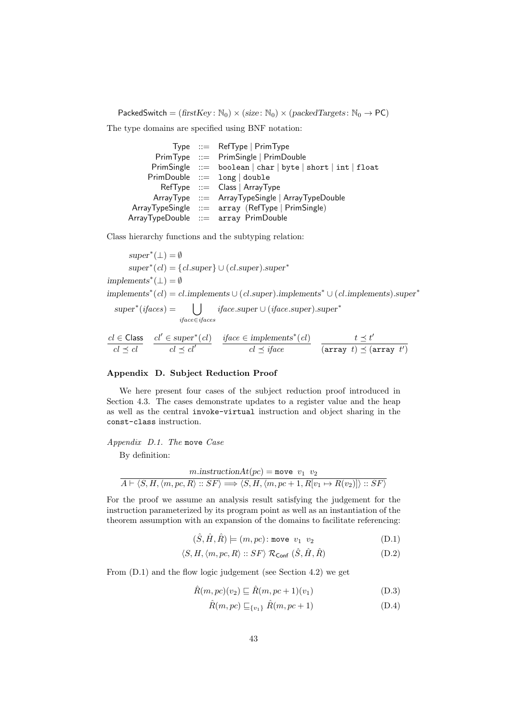PackedSwitch =  $(firstKey: \mathbb{N}_0) \times (size: \mathbb{N}_0) \times (packetTargets: \mathbb{N}_0 \rightarrow PC)$ 

The type domains are specified using BNF notation:

|                 | Type $\ ::=$ RefType   PrimType                            |
|-----------------|------------------------------------------------------------|
|                 | PrimType ::= PrimSingle   PrimDouble                       |
|                 | PrimSingle ::= boolean   char   byte   short   int   float |
|                 | $PrimDouble ::= long   double$                             |
|                 | $RefType ::= Class   ArrayType$                            |
|                 | $ArrayType ::=$ ArrayTypeSingle   ArrayTypeDouble          |
|                 | ArrayTypeSingle ::= array (RefType   PrimSingle)           |
| ArrayTypeDouble | ::= array PrimDouble                                       |

Class hierarchy functions and the subtyping relation:

 $super^*(\perp) = \emptyset$  $super^*(cl) = {cl.super} \cup (cl.super).super^*$  $\text{implements}^*(\bot) = \emptyset$ implements<sup>\*</sup>(cl) = cl.implements ∪ (cl.super).implements<sup>\*</sup> ∪ (cl.implements).super<sup>\*</sup>  $super<sup>*</sup>(*ifaces*) =$  [ iface∈ifaces iface.super ∪ (iface.super).super<sup>∗</sup>  $cl \in Class$  $cl \preceq cl$  $cl' \in super^*(cl)$  $cl \preceq cl'$ *iface* ∈ *implements*<sup>\*</sup> $(cl)$  $cl \preceq iface$  $t \preceq t'$  $(\text{array } t) \preceq (\text{array } t')$ 

# Appendix D. Subject Reduction Proof

We here present four cases of the subject reduction proof introduced in Section 4.3. The cases demonstrate updates to a register value and the heap as well as the central invoke-virtual instruction and object sharing in the const-class instruction.

#### Appendix D.1. The move Case

By definition:

$$
\frac{m.\text{instructionAt}(pc) = \text{move } v_1 \ v_2}{A \vdash \langle S, H, \langle m, pc, R \rangle :: SF \rangle \Longrightarrow \langle S, H, \langle m, pc+1, R[v_1 \mapsto R(v_2)] \rangle :: SF \rangle}
$$

For the proof we assume an analysis result satisfying the judgement for the instruction parameterized by its program point as well as an instantiation of the theorem assumption with an expansion of the domains to facilitate referencing:

$$
(\hat{S}, \hat{H}, \hat{R}) \models (m, pc) \text{: move } v_1 \ v_2 \tag{D.1}
$$

$$
\langle S, H, \langle m, pc, R \rangle :: SF \rangle \mathcal{R}_{\text{Conf}} (\hat{S}, \hat{H}, \hat{R})
$$
 (D.2)

From (D.1) and the flow logic judgement (see Section 4.2) we get

$$
\hat{R}(m, pc)(v_2) \sqsubseteq \hat{R}(m, pc+1)(v_1)
$$
\n(D.3)

$$
\hat{R}(m, pc) \sqsubseteq_{\{v_1\}} \hat{R}(m, pc+1)
$$
\n(D.4)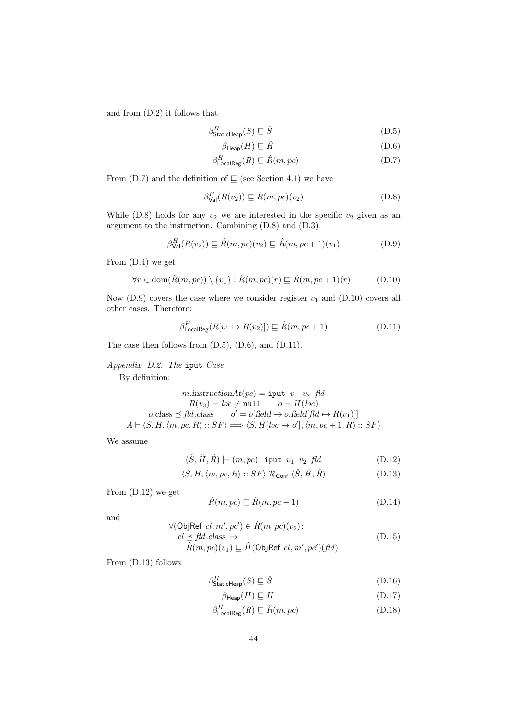and from (D.2) it follows that

$$
\beta_{\text{StaticHeap}}^H(S) \sqsubseteq \hat{S} \tag{D.5}
$$

$$
\beta_{\text{Heap}}(H) \sqsubseteq \hat{H} \tag{D.6}
$$

$$
\beta_{\text{LocalReg}}^H(R) \sqsubseteq \hat{R}(m, pc) \tag{D.7}
$$

From (D.7) and the definition of  $\sqsubseteq$  (see Section 4.1) we have

$$
\beta_{\text{Val}}^H(R(v_2)) \sqsubseteq \hat{R}(m, pc)(v_2) \tag{D.8}
$$

While (D.8) holds for any  $v_2$  we are interested in the specific  $v_2$  given as an argument to the instruction. Combining (D.8) and (D.3),

$$
\beta_{\text{Val}}^H(R(v_2)) \sqsubseteq \hat{R}(m, pc)(v_2) \sqsubseteq \hat{R}(m, pc+1)(v_1)
$$
 (D.9)

From (D.4) we get

$$
\forall r \in \text{dom}(\hat{R}(m, pc)) \setminus \{v_1\} : \hat{R}(m, pc)(r) \sqsubseteq \hat{R}(m, pc + 1)(r) \tag{D.10}
$$

Now  $(D.9)$  covers the case where we consider register  $v_1$  and  $(D.10)$  covers all other cases. Therefore:

$$
\beta_{\text{LocalReg}}^H(R[v_1 \mapsto R(v_2)]) \sqsubseteq \hat{R}(m, pc+1)
$$
 (D.11)

The case then follows from (D.5), (D.6), and (D.11).

Appendix D.2. The iput Case

By definition:

$$
m.\text{instructionAt}(pc) = \text{iput } v_1 \ v_2 \ \text{fd}
$$

$$
R(v_2) = loc \neq \text{null} \qquad o = H(loc)
$$

$$
o.\text{class} \leq \text{fd}.\text{class} \qquad o' = o[\text{field} \mapsto o.\text{field}[\text{fd} \mapsto R(v_1)]]
$$

$$
A \vdash \langle S, H, \langle m, pc, R \rangle :: SF \rangle \Longrightarrow \langle S, H[loc \mapsto o'], \langle m, pc + 1, R \rangle :: SF \rangle
$$

We assume

$$
(\hat{S}, \hat{H}, \hat{R}) \models (m, pc) : \text{iput } v_1 \ v_2 \ fld \tag{D.12}
$$

$$
\langle S, H, \langle m, pc, R \rangle :: SF \rangle \mathcal{R}_{\text{Conf}} (\hat{S}, \hat{H}, \hat{R})
$$
 (D.13)

From (D.12) we get

$$
\hat{R}(m, pc) \sqsubseteq \hat{R}(m, pc+1)
$$
\n(D.14)

and

$$
\forall (\text{ObjRef } cl, m', pc') \in \hat{R}(m, pc)(v_2):\ncl \leq fld.class \Rightarrow\n\hat{R}(m, pc)(v_1) \sqsubseteq \hat{H}(\text{ObjRef } cl, m', pc') (fd)
$$
\n(D.15)

From (D.13) follows

$$
\beta_{\text{StaticHeap}}^H(S) \sqsubseteq \hat{S} \tag{D.16}
$$

$$
\beta_{\mathsf{Heap}}(H) \sqsubseteq \hat{H} \tag{D.17}
$$

$$
\beta_{\text{LocalReg}}^H(R) \sqsubseteq \hat{R}(m, pc) \tag{D.18}
$$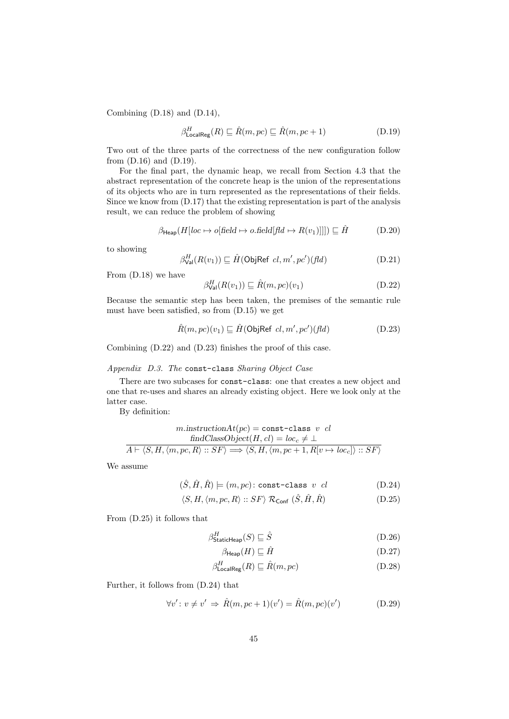Combining (D.18) and (D.14),

$$
\beta_{\text{LocalReg}}^H(R) \sqsubseteq \hat{R}(m, pc) \sqsubseteq \hat{R}(m, pc+1)
$$
\n(D.19)

Two out of the three parts of the correctness of the new configuration follow from (D.16) and (D.19).

For the final part, the dynamic heap, we recall from Section 4.3 that the abstract representation of the concrete heap is the union of the representations of its objects who are in turn represented as the representations of their fields. Since we know from (D.17) that the existing representation is part of the analysis result, we can reduce the problem of showing

$$
\beta_{\text{Heap}}(H[loc \to o[\text{field} \to o.\text{field}[\text{fd} \to R(v_1)]]]) \sqsubseteq \hat{H}
$$
 (D.20)

to showing

$$
\beta_{\text{Val}}^H(R(v_1)) \sqsubseteq \hat{H}(\text{ObjRef } cl, m', pc')(\text{fd}) \tag{D.21}
$$

From (D.18) we have

$$
\beta_{\text{Val}}^H(R(v_1)) \sqsubseteq \hat{R}(m, pc)(v_1) \tag{D.22}
$$

Because the semantic step has been taken, the premises of the semantic rule must have been satisfied, so from (D.15) we get

$$
\hat{R}(m, pc)(v_1) \sqsubseteq \hat{H}(\text{ObjRef } cl, m', pc')(\text{fd})
$$
\n(D.23)

Combining (D.22) and (D.23) finishes the proof of this case.

# Appendix D.3. The const-class Sharing Object Case

There are two subcases for const-class: one that creates a new object and one that re-uses and shares an already existing object. Here we look only at the latter case.

By definition:

$$
m.\text{instructionAt}(pc) = \text{const-class } v \text{ cl}
$$

$$
\text{findClassObject}(H, cl) = loc_c \neq \bot
$$

$$
A \vdash \langle S, H, \langle m, pc, R \rangle :: SF \rangle \Longrightarrow \langle S, H, \langle m, pc + 1, R[v \mapsto loc_c] \rangle :: SF \rangle
$$

We assume

$$
(\hat{S}, \hat{H}, \hat{R}) \models (m, pc) : \text{const-class } v \text{ } cl \tag{D.24}
$$

$$
\langle S, H, \langle m, pc, R \rangle :: SF \rangle \mathcal{R}_{\text{Conf}} (\hat{S}, \hat{H}, \hat{R})
$$
 (D.25)

From (D.25) it follows that

$$
\beta_{\text{StaticHeap}}^H(S) \sqsubseteq \hat{S} \tag{D.26}
$$

$$
\beta_{\text{Heap}}(H) \sqsubseteq \hat{H} \tag{D.27}
$$

$$
\beta_{\text{LocalReg}}^H(R) \sqsubseteq \hat{R}(m, pc) \tag{D.28}
$$

Further, it follows from (D.24) that

$$
\forall v': v \neq v' \Rightarrow \hat{R}(m, pc+1)(v') = \hat{R}(m, pc)(v') \tag{D.29}
$$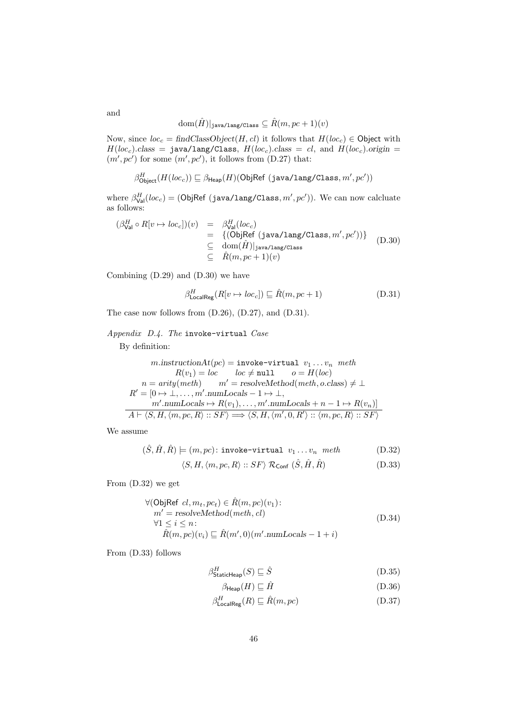$\text{dom}(\hat{H})|_{\text{java/lang/Class}} \subseteq \hat{R}(m, pc+1)(v)$ 

Now, since  $loc_c = findClassObject(H, cl)$  it follows that  $H(loc_c) \in$  Object with  $H(loc_c).class = \texttt{java/lang/Class}, H(loc_c).class = cl, and H(loc_c).origin =$  $(m', pc')$  for some  $(m', pc')$ , it follows from  $(D.27)$  that:

$$
\beta_{\mathsf{Object}}^H(H(loc_c))\sqsubseteq \beta_{\mathsf{Heap}}(H)(\mathsf{ObjRef}\;(\mathtt{java/lang/Class},m',pc'))
$$

where  $\beta_{\text{Val}}^{H}(loc_c) = (\text{ObjRef (java/lang/Class}, m', pc')).$  We can now calcluate as follows:

$$
\begin{array}{rcl}\n(\beta_{\text{Val}}^H \circ R[v \mapsto loc_c])(v) & = & \beta_{\text{Val}}^H (loc_c) \\
& = & \{(\text{ObjRef } (\text{java}/\text{lang}/\text{Class}, m', pc'))\} \\
& \subseteq & \text{dom}(\hat{H})|_{\text{java}/\text{lang}/\text{Class}} \\
& \subseteq & \hat{R}(m, pc + 1)(v)\n\end{array} \tag{D.30}
$$

Combining (D.29) and (D.30) we have

$$
\beta_{\text{LocalReg}}^H(R[v \to loc_c]) \sqsubseteq \hat{R}(m, pc+1)
$$
\n(D.31)

The case now follows from (D.26), (D.27), and (D.31).

# Appendix D.4. The invoke-virtual Case

By definition:

$$
m.\text{instructionAt}(pc) = \text{invoke-virtual } v_1 \dots v_n \text{ } meth
$$
  
\n
$$
R(v_1) = loc \qquad loc \neq \text{null} \qquad o = H(loc)
$$
  
\n
$$
n = \text{arity}(\text{meth}) \qquad m' = \text{resolveMethod}(\text{meth}, o.\text{class}) \neq \bot
$$
  
\n
$$
R' = [0 \rightarrow \bot, \dots, m'.\text{numLocals} - 1 \rightarrow \bot,
$$
  
\n
$$
m'.\text{numLocals} \mapsto R(v_1), \dots, m'.\text{numLocals} + n - 1 \mapsto R(v_n)]
$$
  
\n
$$
A \vdash \langle S, H, \langle m, pc, R \rangle :: SF \rangle \Longrightarrow \langle S, H, \langle m', 0, R' \rangle :: \langle m, pc, R \rangle :: SF \rangle
$$

We assume

$$
(\hat{S}, \hat{H}, \hat{R}) \models (m, pc) \colon \text{invoke-virtual } v_1 \dots v_n \text{ meth} \tag{D.32}
$$

$$
\langle S, H, \langle m, pc, R \rangle :: SF \rangle \mathcal{R}_{\text{Conf}} (\hat{S}, \hat{H}, \hat{R})
$$
 (D.33)

From (D.32) we get

$$
\forall (\text{ObjRef } cl, m_t, pc_t) \in \hat{R}(m, pc)(v_1):
$$
  
\n
$$
m' = resolvedMethod(meth, cl)
$$
  
\n
$$
\forall 1 \le i \le n:
$$
  
\n
$$
\hat{R}(m, pc)(v_i) \sqsubseteq \hat{R}(m', 0)(m'.numLocals - 1 + i)
$$
\n(D.34)

From (D.33) follows

$$
\beta_{\text{StaticHeap}}^H(S) \sqsubseteq \hat{S} \tag{D.35}
$$

$$
\beta_{\mathsf{Heap}}(H) \sqsubseteq \hat{H} \tag{D.36}
$$

$$
\beta_{\text{LocalReg}}^H(R) \sqsubseteq \hat{R}(m, pc) \tag{D.37}
$$

and